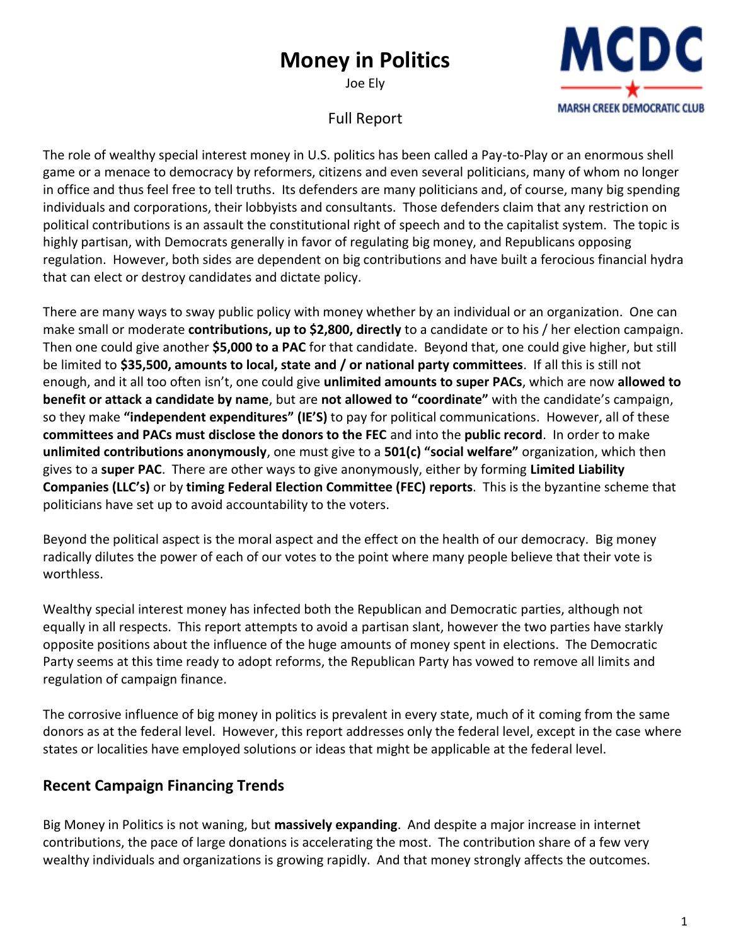# **Money in Politics**

Joe Ely



## Full Report

The role of wealthy special interest money in U.S. politics has been called a Pay-to-Play or an enormous shell game or a menace to democracy by reformers, citizens and even several politicians, many of whom no longer in office and thus feel free to tell truths. Its defenders are many politicians and, of course, many big spending individuals and corporations, their lobbyists and consultants. Those defenders claim that any restriction on political contributions is an assault the constitutional right of speech and to the capitalist system. The topic is highly partisan, with Democrats generally in favor of regulating big money, and Republicans opposing regulation. However, both sides are dependent on big contributions and have built a ferocious financial hydra that can elect or destroy candidates and dictate policy.

There are many ways to sway public policy with money whether by an individual or an organization. One can make small or moderate **contributions, up to \$2,800, directly** to a candidate or to his / her election campaign. Then one could give another **\$5,000 to a PAC** for that candidate. Beyond that, one could give higher, but still be limited to **\$35,500, amounts to local, state and / or national party committees**. If all this is still not enough, and it all too often isn't, one could give **unlimited amounts to super PACs**, which are now **allowed to benefit or attack a candidate by name**, but are **not allowed to "coordinate"** with the candidate's campaign, so they make **"independent expenditures" (IE'S)** to pay for political communications. However, all of these **committees and PACs must disclose the donors to the FEC** and into the **public record**. In order to make **unlimited contributions anonymously**, one must give to a **501(c) "social welfare"** organization, which then gives to a **super PAC**. There are other ways to give anonymously, either by forming **Limited Liability Companies (LLC's)** or by **timing Federal Election Committee (FEC) reports**. This is the byzantine scheme that politicians have set up to avoid accountability to the voters.

Beyond the political aspect is the moral aspect and the effect on the health of our democracy. Big money radically dilutes the power of each of our votes to the point where many people believe that their vote is worthless.

Wealthy special interest money has infected both the Republican and Democratic parties, although not equally in all respects. This report attempts to avoid a partisan slant, however the two parties have starkly opposite positions about the influence of the huge amounts of money spent in elections. The Democratic Party seems at this time ready to adopt reforms, the Republican Party has vowed to remove all limits and regulation of campaign finance.

The corrosive influence of big money in politics is prevalent in every state, much of it coming from the same donors as at the federal level. However, this report addresses only the federal level, except in the case where states or localities have employed solutions or ideas that might be applicable at the federal level.

## **Recent Campaign Financing Trends**

Big Money in Politics is not waning, but **massively expanding**. And despite a major increase in internet contributions, the pace of large donations is accelerating the most. The contribution share of a few very wealthy individuals and organizations is growing rapidly. And that money strongly affects the outcomes.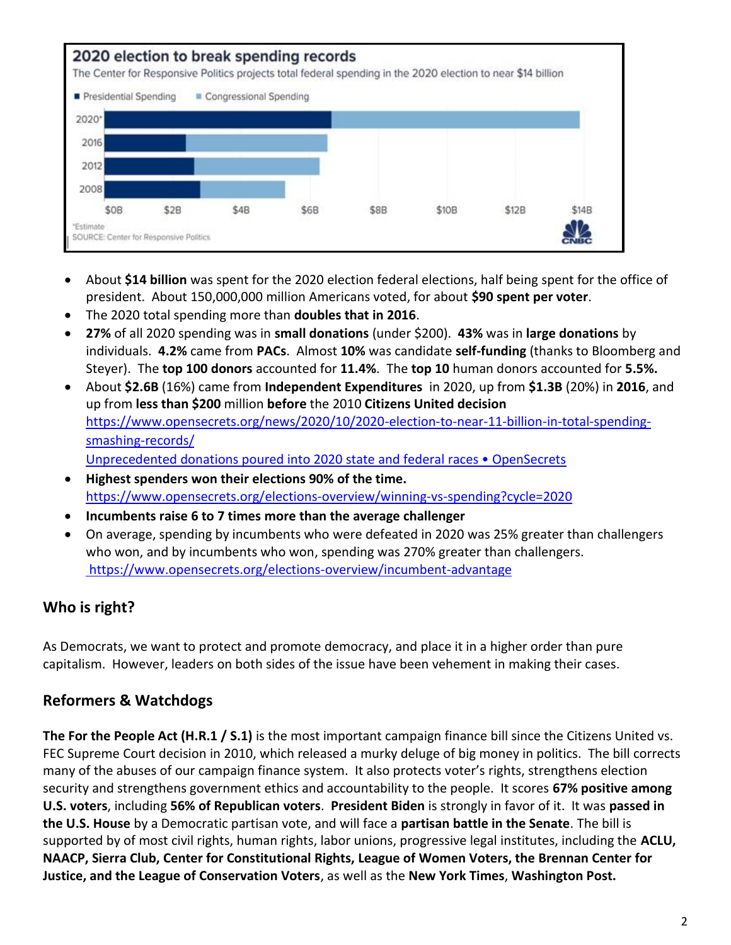

- About **\$14 billion** was spent for the 2020 election federal elections, half being spent for the office of president. About 150,000,000 million Americans voted, for about **\$90 spent per voter**.
- The 2020 total spending more than **doubles that in 2016**.
- **27%** of all 2020 spending was in **small donations** (under \$200). **43%** was in **large donations** by individuals. **4.2%** came from **PACs**. Almost **10%** was candidate **self-funding** (thanks to Bloomberg and Steyer). The **top 100 donors** accounted for **11.4%**. The **top 10** human donors accounted for **5.5%.**
- About **\$2.6B** (16%) came from **Independent Expenditures** in 2020, up from **\$1.3B** (20%) in **2016**, and up from **less than \$200** million **before** the 2010 **Citizens United decision** [https://www.opensecrets.org/news/2020/10/2020-election-to-near-11-billion-in-total-spending](https://www.opensecrets.org/news/2020/10/2020-election-to-near-11-billion-in-total-spending-smashing-records/)[smashing-records/](https://www.opensecrets.org/news/2020/10/2020-election-to-near-11-billion-in-total-spending-smashing-records/) [Unprecedented donations poured into 2020 state and federal races • OpenSecrets](https://www.opensecrets.org/news/2020/11/2020-state-and-federal-races-nimp/)
- **Highest spenders won their elections 90% of the time.** <https://www.opensecrets.org/elections-overview/winning-vs-spending?cycle=2020>
- **Incumbents raise 6 to 7 times more than the average challenger**
- On average, spending by incumbents who were defeated in 2020 was 25% greater than challengers who won, and by incumbents who won, spending was 270% greater than challengers. <https://www.opensecrets.org/elections-overview/incumbent-advantage>

# **Who is right?**

As Democrats, we want to protect and promote democracy, and place it in a higher order than pure capitalism. However, leaders on both sides of the issue have been vehement in making their cases.

## **Reformers & Watchdogs**

**The For the People Act (H.R.1 / S.1)** is the most important campaign finance bill since the Citizens United vs. FEC Supreme Court decision in 2010, which released a murky deluge of big money in politics. The bill corrects many of the abuses of our campaign finance system. It also protects voter's rights, strengthens election security and strengthens government ethics and accountability to the people. It scores **67% positive among U.S. voters**, including **56% of Republican voters**. **President Biden** is strongly in favor of it. It was **passed in the U.S. House** by a Democratic partisan vote, and will face a **partisan battle in the Senate**. The bill is supported by of most civil rights, human rights, labor unions, progressive legal institutes, including the **ACLU, NAACP, Sierra Club, Center for Constitutional Rights, League of Women Voters, the Brennan Center for Justice, and the League of Conservation Voters**, as well as the **New York Times**, **Washington Post.**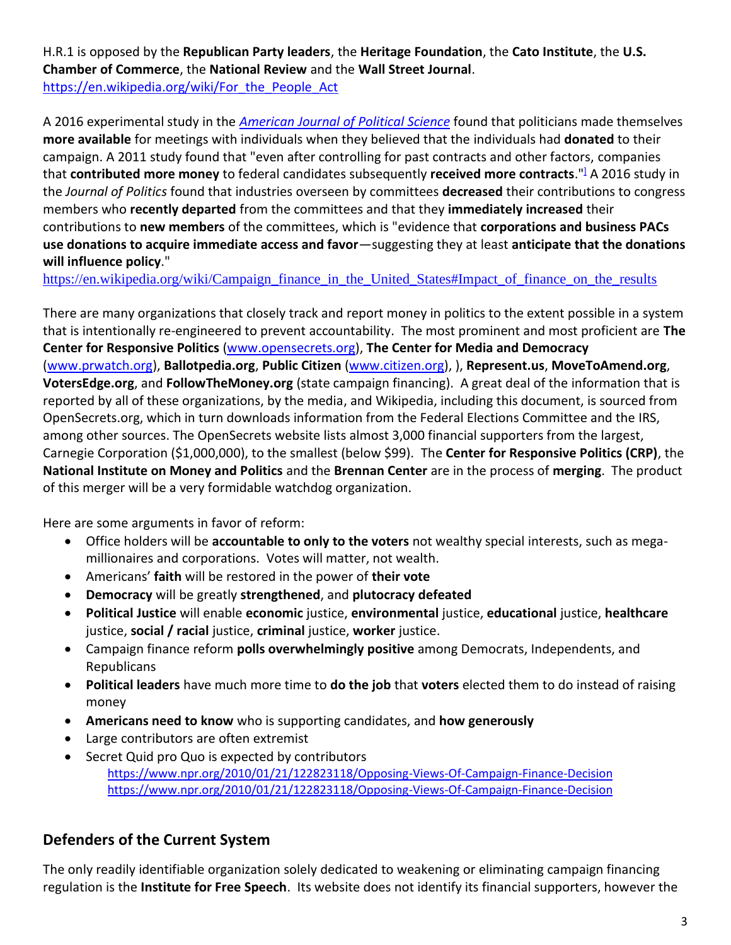H.R.1 is opposed by the **Republican Party leaders**, the **Heritage Foundation**, the **Cato Institute**, the **U.S. Chamber of Commerce**, the **National Review** and the **Wall Street Journal**. [https://en.wikipedia.org/wiki/For\\_the\\_People\\_Act](https://en.wikipedia.org/wiki/For_the_People_Act)

A 2016 experimental study in the *[American Journal of Political Science](https://en.wikipedia.org/wiki/American_Journal_of_Political_Science)* found that politicians made themselves **more available** for meetings with individuals when they believed that the individuals had **donated** to their campaign. A 2011 study found that "even after controlling for past contracts and other factors, companies that **contributed more money** to federal candidates subsequently **received more contracts**.["](https://en.wikipedia.org/wiki/Campaign_finance_in_the_United_States#cite_note-77)] A 2016 study in the *Journal of Politics* found that industries overseen by committees **decreased** their contributions to congress members who **recently departed** from the committees and that they **immediately increased** their contributions to **new members** of the committees, which is "evidence that **corporations and business PACs use donations to acquire immediate access and favor**—suggesting they at least **anticipate that the donations will influence policy**."

[https://en.wikipedia.org/wiki/Campaign\\_finance\\_in\\_the\\_United\\_States#Impact\\_of\\_finance\\_on\\_the\\_results](https://en.wikipedia.org/wiki/Campaign_finance_in_the_United_States#Impact_of_finance_on_the_results)

There are many organizations that closely track and report money in politics to the extent possible in a system that is intentionally re-engineered to prevent accountability. The most prominent and most proficient are **The Center for Responsive Politics** [\(www.opensecrets.org\)](http://www.opensecrets.org/), **The Center for Media and Democracy** [\(www.prwatch.org\)](http://www.prwatch.org/), **Ballotpedia.org**, **Public Citizen** [\(www.citizen.org\)](http://www.citizen.org/), ), **Represent.us**, **MoveToAmend.org**, **VotersEdge.org**, and **FollowTheMoney.org** (state campaign financing). A great deal of the information that is reported by all of these organizations, by the media, and Wikipedia, including this document, is sourced from OpenSecrets.org, which in turn downloads information from the Federal Elections Committee and the IRS, among other sources. The OpenSecrets website lists almost 3,000 financial supporters from the largest, Carnegie Corporation (\$1,000,000), to the smallest (below \$99). The **Center for Responsive Politics (CRP)**, the **National Institute on Money and Politics** and the **Brennan Center** are in the process of **merging**. The product of this merger will be a very formidable watchdog organization.

Here are some arguments in favor of reform:

- Office holders will be **accountable to only to the voters** not wealthy special interests, such as megamillionaires and corporations. Votes will matter, not wealth.
- Americans' **faith** will be restored in the power of **their vote**
- **Democracy** will be greatly **strengthened**, and **plutocracy defeated**
- **Political Justice** will enable **economic** justice, **environmental** justice, **educational** justice, **healthcare** justice, **social / racial** justice, **criminal** justice, **worker** justice.
- Campaign finance reform **polls overwhelmingly positive** among Democrats, Independents, and Republicans
- **Political leaders** have much more time to **do the job** that **voters** elected them to do instead of raising money
- **Americans need to know** who is supporting candidates, and **how generously**
- Large contributors are often extremist
- Secret Quid pro Quo is expected by contributors <https://www.npr.org/2010/01/21/122823118/Opposing-Views-Of-Campaign-Finance-Decision> <https://www.npr.org/2010/01/21/122823118/Opposing-Views-Of-Campaign-Finance-Decision>

## **Defenders of the Current System**

The only readily identifiable organization solely dedicated to weakening or eliminating campaign financing regulation is the **Institute for Free Speech**. Its website does not identify its financial supporters, however the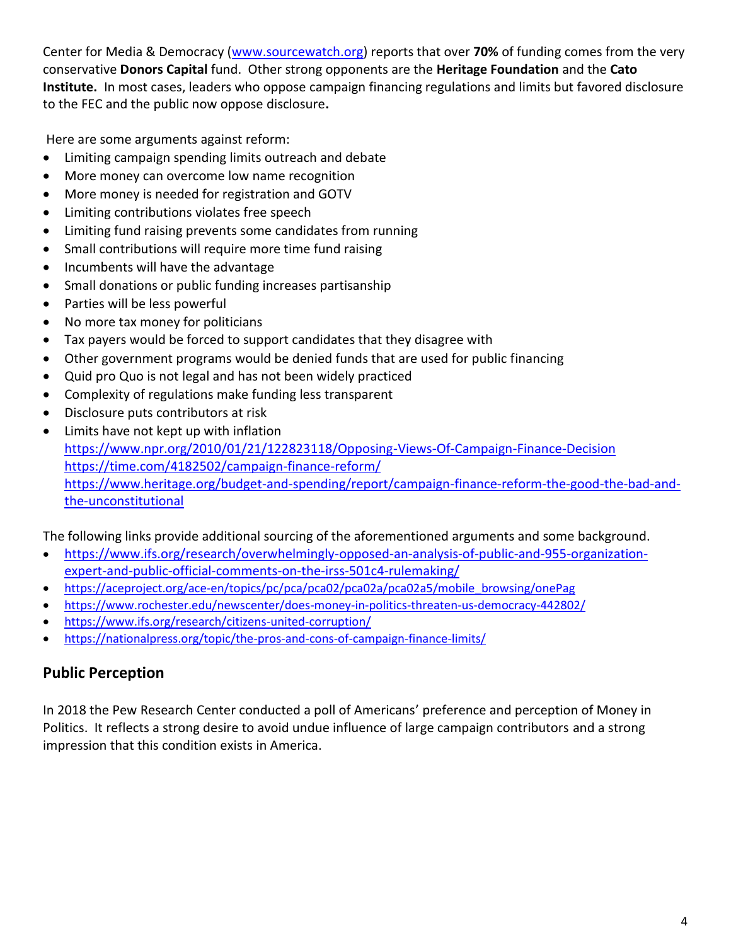Center for Media & Democracy [\(www.sourcewatch.org\)](http://www.sourcewatch.org/) reports that over **70%** of funding comes from the very conservative **Donors Capital** fund. Other strong opponents are the **Heritage Foundation** and the **Cato Institute.** In most cases, leaders who oppose campaign financing regulations and limits but favored disclosure to the FEC and the public now oppose disclosure**.** 

Here are some arguments against reform:

- Limiting campaign spending limits outreach and debate
- More money can overcome low name recognition
- More money is needed for registration and GOTV
- Limiting contributions violates free speech
- Limiting fund raising prevents some candidates from running
- Small contributions will require more time fund raising
- Incumbents will have the advantage
- Small donations or public funding increases partisanship
- Parties will be less powerful
- No more tax money for politicians
- Tax payers would be forced to support candidates that they disagree with
- Other government programs would be denied funds that are used for public financing
- Quid pro Quo is not legal and has not been widely practiced
- Complexity of regulations make funding less transparent
- Disclosure puts contributors at risk
- Limits have not kept up with inflation <https://www.npr.org/2010/01/21/122823118/Opposing-Views-Of-Campaign-Finance-Decision> <https://time.com/4182502/campaign-finance-reform/> [https://www.heritage.org/budget-and-spending/report/campaign-finance-reform-the-good-the-bad-and](https://www.heritage.org/budget-and-spending/report/campaign-finance-reform-the-good-the-bad-and-the-unconstitutional)[the-unconstitutional](https://www.heritage.org/budget-and-spending/report/campaign-finance-reform-the-good-the-bad-and-the-unconstitutional)

The following links provide additional sourcing of the aforementioned arguments and some background.

- [https://www.ifs.org/research/overwhelmingly-opposed-an-analysis-of-public-and-955-organization](https://www.ifs.org/research/overwhelmingly-opposed-an-analysis-of-public-and-955-organization-expert-and-public-official-comments-on-the-irss-501c4-rulemaking/)[expert-and-public-official-comments-on-the-irss-501c4-rulemaking/](https://www.ifs.org/research/overwhelmingly-opposed-an-analysis-of-public-and-955-organization-expert-and-public-official-comments-on-the-irss-501c4-rulemaking/)
- [https://aceproject.org/ace-en/topics/pc/pca/pca02/pca02a/pca02a5/mobile\\_browsing/onePag](https://aceproject.org/ace-en/topics/pc/pca/pca02/pca02a/pca02a5/mobile_browsing/onePag)
- <https://www.rochester.edu/newscenter/does-money-in-politics-threaten-us-democracy-442802/>
- <https://www.ifs.org/research/citizens-united-corruption/>
- <https://nationalpress.org/topic/the-pros-and-cons-of-campaign-finance-limits/>

## **Public Perception**

In 2018 the Pew Research Center conducted a poll of Americans' preference and perception of Money in Politics. It reflects a strong desire to avoid undue influence of large campaign contributors and a strong impression that this condition exists in America.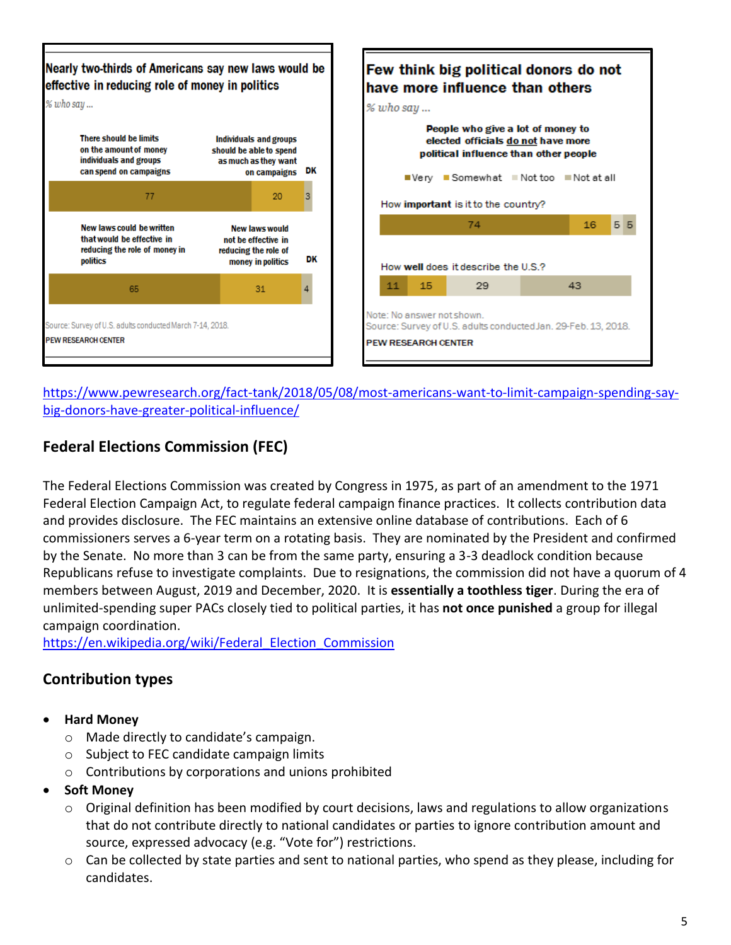

[https://www.pewresearch.org/fact-tank/2018/05/08/most-americans-want-to-limit-campaign-spending-say](https://www.pewresearch.org/fact-tank/2018/05/08/most-americans-want-to-limit-campaign-spending-say-big-donors-have-greater-political-influence/)[big-donors-have-greater-political-influence/](https://www.pewresearch.org/fact-tank/2018/05/08/most-americans-want-to-limit-campaign-spending-say-big-donors-have-greater-political-influence/)

## **Federal Elections Commission (FEC)**

The Federal Elections Commission was created by Congress in 1975, as part of an amendment to the 1971 Federal Election Campaign Act, to regulate federal campaign finance practices. It collects contribution data and provides disclosure. The FEC maintains an extensive online database of contributions. Each of 6 commissioners serves a 6-year term on a rotating basis. They are nominated by the President and confirmed by the Senate. No more than 3 can be from the same party, ensuring a 3-3 deadlock condition because Republicans refuse to investigate complaints. Due to resignations, the commission did not have a quorum of 4 members between August, 2019 and December, 2020. It is **essentially a toothless tiger**. During the era of unlimited-spending super PACs closely tied to political parties, it has **not once punished** a group for illegal campaign coordination.

https://en.wikipedia.org/wiki/Federal Election Commission

## **Contribution types**

- **Hard Money** 
	- o Made directly to candidate's campaign.
	- o Subject to FEC candidate campaign limits
	- $\circ$  Contributions by corporations and unions prohibited
- **Soft Money** 
	- $\circ$  Original definition has been modified by court decisions, laws and regulations to allow organizations that do not contribute directly to national candidates or parties to ignore contribution amount and source, expressed advocacy (e.g. "Vote for") restrictions.
	- o Can be collected by state parties and sent to national parties, who spend as they please, including for candidates.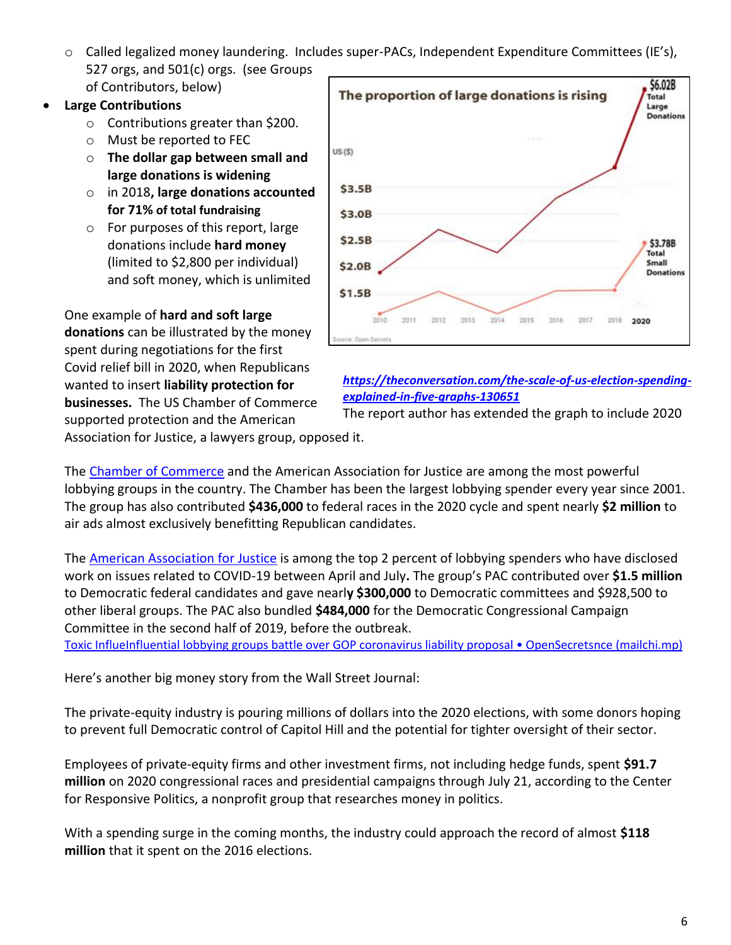o Called legalized money laundering. Includes super-PACs, Independent Expenditure Committees (IE's), 527 orgs, and 501(c) orgs. (see Groups of Contributors, below)

#### • **Large Contributions**

- o Contributions greater than \$200.
- o Must be reported to FEC
- o **The dollar gap between small and large donations is widening**
- o in 2018**, large donations accounted for 71% of total fundraising**
- o For purposes of this report, large donations include **hard money** (limited to \$2,800 per individual) and soft money, which is unlimited

One example of **hard and soft large donations** can be illustrated by the money spent during negotiations for the first Covid relief bill in 2020, when Republicans wanted to insert **liability protection for businesses.** The US Chamber of Commerce supported protection and the American



#### *[https://theconversation.com/the-scale-of-us-election-spending](https://theconversation.com/the-scale-of-us-election-spending-explained-in-five-graphs-130651)[explained-in-five-graphs-130651](https://theconversation.com/the-scale-of-us-election-spending-explained-in-five-graphs-130651)*

The report author has extended the graph to include 2020

Association for Justice, a lawyers group, opposed it.

The [Chamber of Commerce](https://www.opensecrets.org/pacs/lookup2.php?cycle=2020&strID=C00082040) and the American Association for Justice are among the most powerful lobbying groups in the country. The Chamber has been the [largest lobbying spender](https://www.opensecrets.org/federal-lobbying/top-spenders?cycle=a) every year since 2001. The group has also contributed **\$436,000** to federal races in the 2020 cycle and spent nearly **\$2 million** to air ads almost exclusively benefitting Republican candidates.

The [American Association for Justice](https://www.opensecrets.org/pacs/lookup2.php?cycle=2020&strID=C00024521) is among the top 2 percent of lobbying spenders who have disclosed work on issues related to COVID-19 between April and July**.** The group's PAC contributed over **\$1.5 million** to Democratic federal candidates and gave nearl**y \$300,000** to Democratic committees and \$928,500 to other liberal groups. The PAC also bundled **\$484,000** for the [Democratic Congressional Campaign](https://www.opensecrets.org/parties/totals.php?cmte=DCCC&cycle=2020)  [Committee](https://www.opensecrets.org/parties/totals.php?cmte=DCCC&cycle=2020) in the second half of 2019, before the outbreak.

Toxic Influe[Influential lobbying groups battle over GOP coronavirus liability proposal • OpenSecrets](https://mailchi.mp/maplight/zuckerberg-and-trumps-quid-pro-quo-4141921?e=6680a93042)nce (mailchi.mp)

Here's another big money story from the Wall Street Journal:

The private-equity industry is pouring millions of dollars into the 2020 elections, with some donors hoping to prevent full Democratic control of Capitol Hill and the potential for tighter oversight of their sector.

Employees of private-equity firms and other investment firms, not including hedge funds, spent **\$91.7 million** on 2020 congressional races and presidential campaigns through July 21, according to the Center for Responsive Politics, a nonprofit group that researches money in politics.

With a spending surge in the coming months, the industry could approach the record of almost **\$118 million** that it spent on the 2016 elections.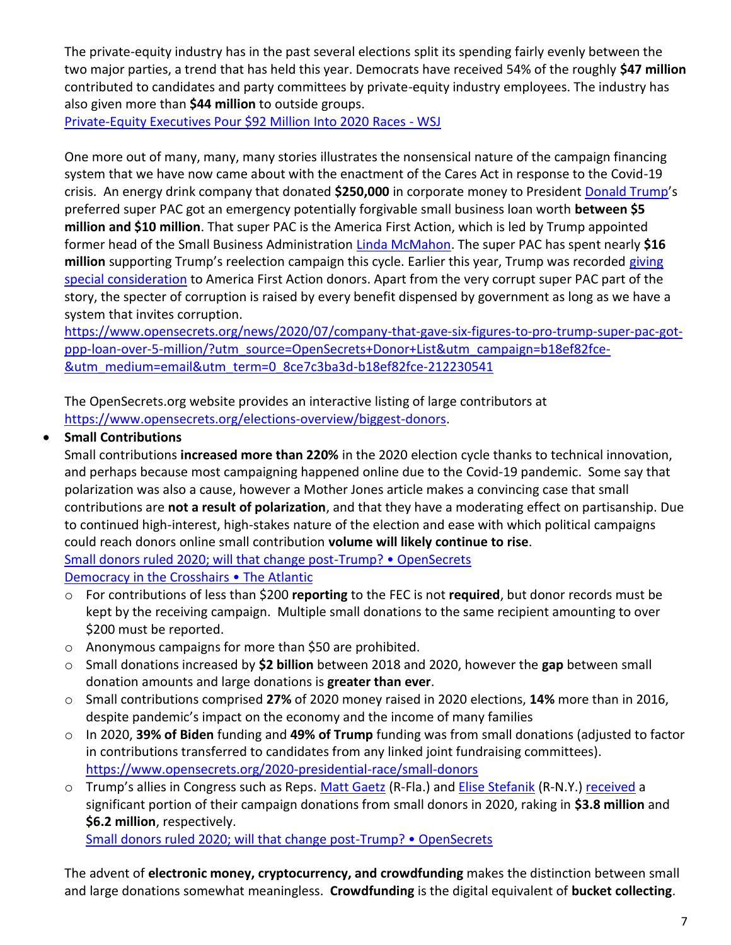The private-equity industry has in the past several elections split its spending fairly evenly between the two major parties, a trend that has held this year. Democrats have received 54% of the roughly **\$47 million** contributed to candidates and party committees by private-equity industry employees. The industry has also given more than **\$44 million** to outside groups.

[Private-Equity Executives Pour \\$92 Million Into 2020 Races -](https://www.wsj.com/articles/private-equity-executives-pour-92-million-into-2020-races-11595616957?utm_source=OpenSecrets+Donor+List&utm_campaign=8275dcb945-DONOR_EMAIL_CAMPAIGN_2020_dl&utm_medium=email&utm_term=0_8ce7c3ba3d-8275dcb945-212230541) WSJ

One more out of many, many, many stories illustrates the nonsensical nature of the campaign financing system that we have now came about with the enactment of the Cares Act in response to the Covid-19 crisis. An energy drink company that donated **\$250,000** in corporate money to President [Donald Trump](https://www.opensecrets.org/2020-presidential-race/candidate?id=N00023864)'s preferred super PAC got an emergency potentially forgivable small business loan worth **between \$5 million and \$10 million**. That super PAC is the America First Action, which is led by Trump appointed former head of the Small Business Administration [Linda McMahon.](https://www.opensecrets.org/revolving/rev_summary.php?id=81848) The super PAC has spent nearly **\$16 million** supporting Trump's reelection campaign this cycle. Earlier this year, Trump was recorded [giving](https://www.opensecrets.org/news/2020/01/super-pac-donors-got-special-access-to-president-trump-recording-shows/)  [special consideration](https://www.opensecrets.org/news/2020/01/super-pac-donors-got-special-access-to-president-trump-recording-shows/) to America First Action donors. Apart from the very corrupt super PAC part of the story, the specter of corruption is raised by every benefit dispensed by government as long as we have a system that invites corruption.

[https://www.opensecrets.org/news/2020/07/company-that-gave-six-figures-to-pro-trump-super-pac-got](https://www.opensecrets.org/news/2020/07/company-that-gave-six-figures-to-pro-trump-super-pac-got-ppp-loan-over-5-million/?utm_source=OpenSecrets+Donor+List&utm_campaign=b18ef82fce-&utm_medium=email&utm_term=0_8ce7c3ba3d-b18ef82fce-212230541)[ppp-loan-over-5-million/?utm\\_source=OpenSecrets+Donor+List&utm\\_campaign=b18ef82fce-](https://www.opensecrets.org/news/2020/07/company-that-gave-six-figures-to-pro-trump-super-pac-got-ppp-loan-over-5-million/?utm_source=OpenSecrets+Donor+List&utm_campaign=b18ef82fce-&utm_medium=email&utm_term=0_8ce7c3ba3d-b18ef82fce-212230541) [&utm\\_medium=email&utm\\_term=0\\_8ce7c3ba3d-b18ef82fce-212230541](https://www.opensecrets.org/news/2020/07/company-that-gave-six-figures-to-pro-trump-super-pac-got-ppp-loan-over-5-million/?utm_source=OpenSecrets+Donor+List&utm_campaign=b18ef82fce-&utm_medium=email&utm_term=0_8ce7c3ba3d-b18ef82fce-212230541)

The OpenSecrets.org website provides an interactive listing of large contributors at [https://www.opensecrets.org/elections-overview/biggest-donors.](https://www.opensecrets.org/elections-overview/biggest-donors)

#### • **Small Contributions**

Small contributions **increased more than 220%** in the 2020 election cycle thanks to technical innovation, and perhaps because most campaigning happened online due to the Covid-19 pandemic. Some say that polarization was also a cause, however a Mother Jones article makes a convincing case that small contributions are **not a result of polarization**, and that they have a moderating effect on partisanship. Due to continued high-interest, high-stakes nature of the election and ease with which political campaigns could reach donors online small contribution **volume will likely continue to rise**.

[Small donors ruled 2020; will that change post-](https://www.opensecrets.org/news/2021/02/small-donors-dominated-2020-will-that-change-in-midterms/)Trump? • OpenSecrets

[Democracy in the Crosshairs](https://www.atlanticcouncil.org/in-depth-research-reports/report/democracy-in-the-crosshairs-how-political-money-laundering-threatens-the-democratic-process/) • The Atlantic

- o For contributions of less than \$200 **reporting** to the FEC is not **required**, but donor records must be kept by the receiving campaign. Multiple small donations to the same recipient amounting to over \$200 must be reported.
- o Anonymous campaigns for more than \$50 are prohibited.
- o Small donations increased by **\$2 billion** between 2018 and 2020, however the **gap** between small donation amounts and large donations is **greater than ever**.
- o Small contributions comprised **27%** of 2020 money raised in 2020 elections, **14%** more than in 2016, despite pandemic's impact on the economy and the income of many families
- o In 2020, **39% of Biden** funding and **49% of Trump** funding was from small donations (adjusted to factor in contributions transferred to candidates from any linked joint fundraising committees). <https://www.opensecrets.org/2020-presidential-race/small-donors>
- o Trump's allies in Congress such as Reps. [Matt Gaetz](https://www.opensecrets.org/members-of-congress/matt-gaetz/summary?cid=N00039503&cycle=2020) (R-Fla.) and [Elise Stefanik](https://www.opensecrets.org/members-of-congress/elise-stefanik/summary?cid=N00035523&cycle=2020) (R-N.Y.[\) received](https://www.opensecrets.org/elections-overview/large-vs-small-donations) a significant portion of their campaign donations from small donors in 2020, raking in **\$3.8 million** and **\$6.2 million**, respectively.

[Small donors ruled 2020; will that change post-](https://www.opensecrets.org/news/2021/02/small-donors-dominated-2020-will-that-change-in-midterms/)Trump? • OpenSecrets

The advent of **electronic money, cryptocurrency, and crowdfunding** makes the distinction between small and large donations somewhat meaningless. **Crowdfunding** is the digital equivalent of **bucket collecting**.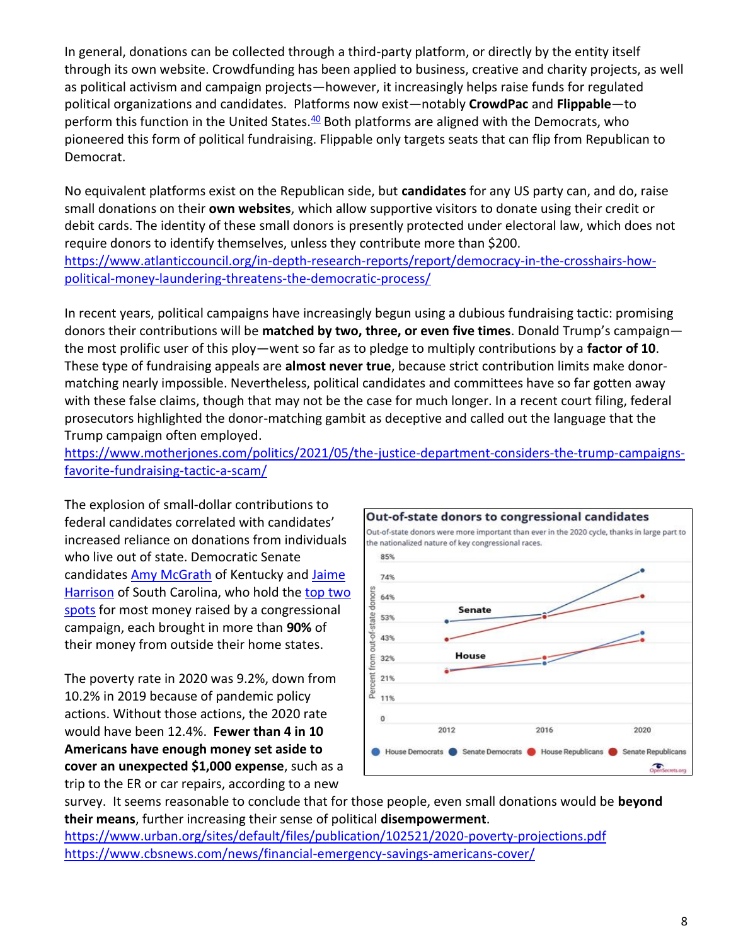In general, donations can be collected through a third-party platform, or directly by the entity itself through its own website. Crowdfunding has been applied to business, creative and charity projects, as well as political activism and campaign projects—however, it increasingly helps raise funds for regulated political organizations and candidates. Platforms now exist—notably **CrowdPac** and **Flippable**—to perform this function in the United States. $40$  Both platforms are aligned with the Democrats, who pioneered this form of political fundraising. Flippable only targets seats that can flip from Republican to Democrat.

No equivalent platforms exist on the Republican side, but **candidates** for any US party can, and do, raise small donations on their **own websites**, which allow supportive visitors to donate using their credit or debit cards. The identity of these small donors is presently protected under electoral law, which does not require donors to identify themselves, unless they contribute more than \$200. [https://www.atlanticcouncil.org/in-depth-research-reports/report/democracy-in-the-crosshairs-how](https://www.atlanticcouncil.org/in-depth-research-reports/report/democracy-in-the-crosshairs-how-political-money-laundering-threatens-the-democratic-process/)[political-money-laundering-threatens-the-democratic-process/](https://www.atlanticcouncil.org/in-depth-research-reports/report/democracy-in-the-crosshairs-how-political-money-laundering-threatens-the-democratic-process/)

In recent years, political campaigns have increasingly begun using a dubious fundraising tactic: promising donors their contributions will be **matched by two, three, or even five times**. Donald Trump's campaign the most prolific user of this ploy—went so far as to pledge to multiply contributions by a **factor of 10**. These type of fundraising appeals are **almost never true**, because strict contribution limits make donormatching nearly impossible. Nevertheless, political candidates and committees have so far gotten away with these false claims, though that may not be the case for much longer. In a recent court filing, federal prosecutors highlighted the donor-matching gambit as deceptive and called out the language that the Trump campaign often employed.

[https://www.motherjones.com/politics/2021/05/the-justice-department-considers-the-trump-campaigns](https://www.motherjones.com/politics/2021/05/the-justice-department-considers-the-trump-campaigns-favorite-fundraising-tactic-a-scam/)[favorite-fundraising-tactic-a-scam/](https://www.motherjones.com/politics/2021/05/the-justice-department-considers-the-trump-campaigns-favorite-fundraising-tactic-a-scam/)

The explosion of small-dollar contributions to federal candidates correlated with candidates' increased reliance on donations from individuals who live out of state. Democratic Senate candidates [Amy McGrath](https://www.opensecrets.org/races/geography?cycle=2020&id=KYS1&spec=N) of Kentucky and [Jaime](https://www.opensecrets.org/races/geography?cycle=2020&id=SCS2&spec=N)  [Harrison](https://www.opensecrets.org/races/geography?cycle=2020&id=SCS2&spec=N) of South Carolina, who hold the [top two](https://www.opensecrets.org/elections-overview/fundraising-totals)  [spots](https://www.opensecrets.org/elections-overview/fundraising-totals) for most money raised by a congressional campaign, each brought in more than **90%** of their money from outside their home states.

The poverty rate in 2020 was 9.2%, down from 10.2% in 2019 because of pandemic policy actions. Without those actions, the 2020 rate would have been 12.4%. **Fewer than 4 in 10 Americans have enough money set aside to cover an unexpected \$1,000 expense**, such as a trip to the ER or car repairs, according to a new



survey. It seems reasonable to conclude that for those people, even small donations would be **beyond their means**, further increasing their sense of political **disempowerment**.

<https://www.urban.org/sites/default/files/publication/102521/2020-poverty-projections.pdf> <https://www.cbsnews.com/news/financial-emergency-savings-americans-cover/>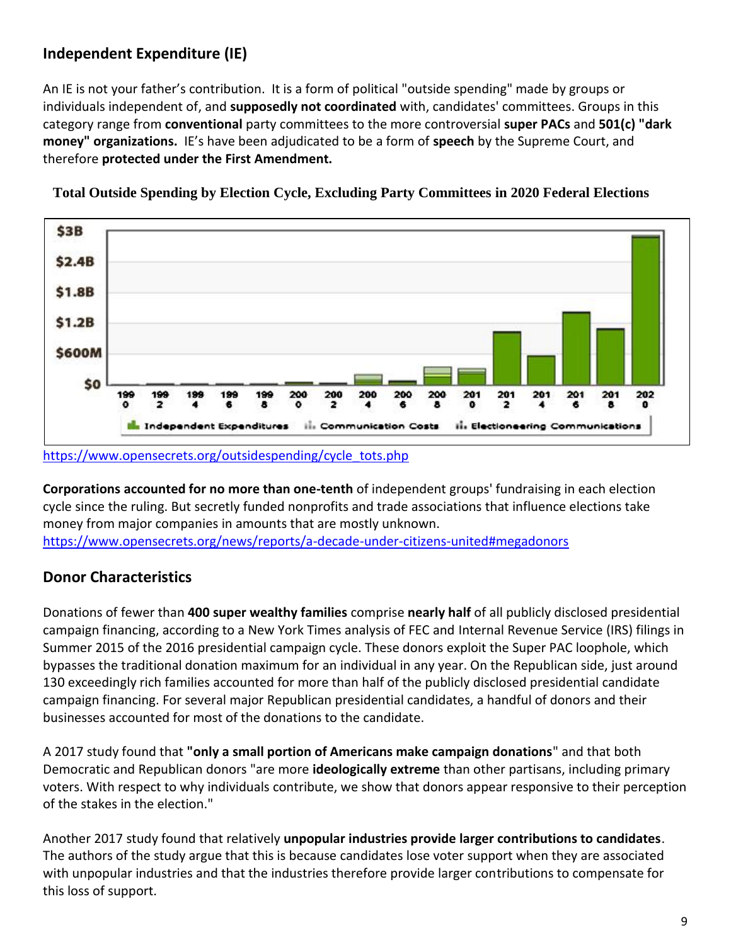# **Independent Expenditure (IE)**

An IE is not your father's contribution. It is a form of political "outside spending" made by groups or individuals independent of, and **supposedly not coordinated** with, candidates' committees. Groups in this category range from **conventional** party committees to the more controversial **super PACs** and **501(c) "dark money" organizations.** IE's have been adjudicated to be a form of **speech** by the Supreme Court, and therefore **protected under the First Amendment.**



**Total Outside Spending by Election Cycle, Excluding Party Committees in 2020 Federal Elections**

**Corporations accounted for no more than one-tenth** of independent groups' fundraising in each election cycle since the ruling. But secretly funded nonprofits and trade associations that influence elections take money from major companies in amounts that are mostly unknown. <https://www.opensecrets.org/news/reports/a-decade-under-citizens-united#megadonors>

## **Donor Characteristics**

Donations of fewer than **400 super wealthy families** comprise **nearly half** of all publicly disclosed presidential campaign financing, according to a New York Times analysis of FEC and Internal Revenue Service (IRS) filings in Summer 2015 of the 2016 presidential campaign cycle. These donors exploit the Super PAC loophole, which bypasses the traditional donation maximum for an individual in any year. On the Republican side, just around 130 exceedingly rich families accounted for more than half of the publicly disclosed presidential candidate campaign financing. For several major Republican presidential candidates, a handful of donors and their businesses accounted for most of the donations to the candidate.

A 2017 study found that **"only a small portion of Americans make campaign donations**" and that both Democratic and Republican donors "are more **ideologically extreme** than other partisans, including primary voters. With respect to why individuals contribute, we show that donors appear responsive to their perception of the stakes in the election."

Another 2017 study found that relatively **unpopular industries provide larger contributions to candidates**. The authors of the study argue that this is because candidates lose voter support when they are associated with unpopular industries and that the industries therefore provide larger contributions to compensate for this loss of support.

[https://www.opensecrets.org/outsidespending/cycle\\_tots.php](https://www.opensecrets.org/outsidespending/cycle_tots.php)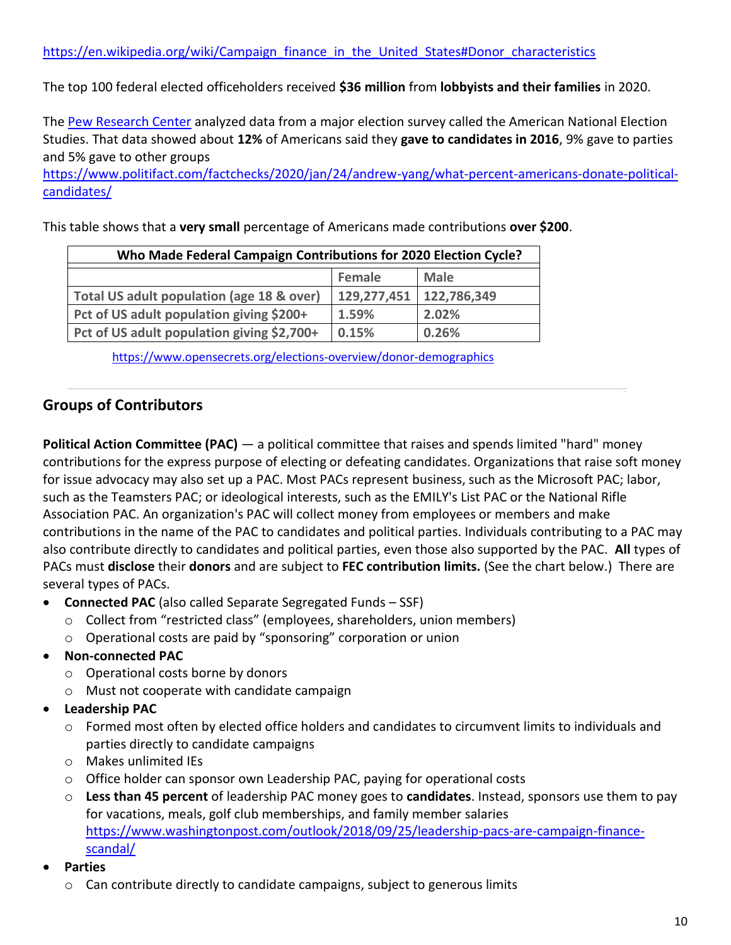The top 100 federal elected officeholders received **\$36 million** from **lobbyists and their families** in 2020.

The [Pew Research Center](https://www.pewresearch.org/fact-tank/2017/05/17/5-facts-about-u-s-political-donations/) analyzed data from a major election survey called the American National Election Studies. That data showed about **12%** of Americans said they **gave to candidates in 2016**, 9% gave to parties and 5% gave to other groups

[https://www.politifact.com/factchecks/2020/jan/24/andrew-yang/what-percent-americans-donate-political](https://www.politifact.com/factchecks/2020/jan/24/andrew-yang/what-percent-americans-donate-political-candidates/)[candidates/](https://www.politifact.com/factchecks/2020/jan/24/andrew-yang/what-percent-americans-donate-political-candidates/)

This table shows that a **very small** percentage of Americans made contributions **over \$200**.

| Who Made Federal Campaign Contributions for 2020 Election Cycle? |             |             |  |  |
|------------------------------------------------------------------|-------------|-------------|--|--|
|                                                                  | Female      | Male        |  |  |
| Total US adult population (age 18 & over)                        | 129,277,451 | 122,786,349 |  |  |
| Pct of US adult population giving \$200+                         | 1.59%       | 2.02%       |  |  |
| Pct of US adult population giving \$2,700+                       | 0.15%       | 0.26%       |  |  |

<https://www.opensecrets.org/elections-overview/donor-demographics>

## **Groups of Contributors**

**Political Action Committee (PAC)** — a political committee that raises and spends limited "hard" money contributions for the express purpose of electing or defeating candidates. Organizations that raise soft money for issue advocacy may also set up a PAC. Most PACs represent business, such as the Microsoft PAC; labor, such as the Teamsters PAC; or ideological interests, such as the EMILY's List PAC or the National Rifle Association PAC. An organization's PAC will collect money from employees or members and make contributions in the name of the PAC to candidates and political parties. Individuals contributing to a PAC may also contribute directly to candidates and political parties, even those also supported by the PAC. **All** types of PACs must **disclose** their **donors** and are subject to **FEC contribution limits.** (See the chart below.) There are several types of PACs.

- **Connected PAC** (also called Separate Segregated Funds SSF)
	- o Collect from "restricted class" (employees, shareholders, union members)
	- o Operational costs are paid by "sponsoring" corporation or union
- **Non-connected PAC**
	- o Operational costs borne by donors
	- o Must not cooperate with candidate campaign
- **Leadership PAC**
	- $\circ$  Formed most often by elected office holders and candidates to circumvent limits to individuals and parties directly to candidate campaigns
	- o Makes unlimited IEs
	- $\circ$  Office holder can sponsor own Leadership PAC, paying for operational costs
	- o **Less than 45 percent** of leadership PAC money goes to **candidates**. Instead, sponsors use them to pay for vacations, meals, golf club memberships, and family member salaries [https://www.washingtonpost.com/outlook/2018/09/25/leadership-pacs-are-campaign-finance](https://www.washingtonpost.com/outlook/2018/09/25/leadership-pacs-are-campaign-finance-scandal/)[scandal/](https://www.washingtonpost.com/outlook/2018/09/25/leadership-pacs-are-campaign-finance-scandal/)
- **Parties**
	- o Can contribute directly to candidate campaigns, subject to generous limits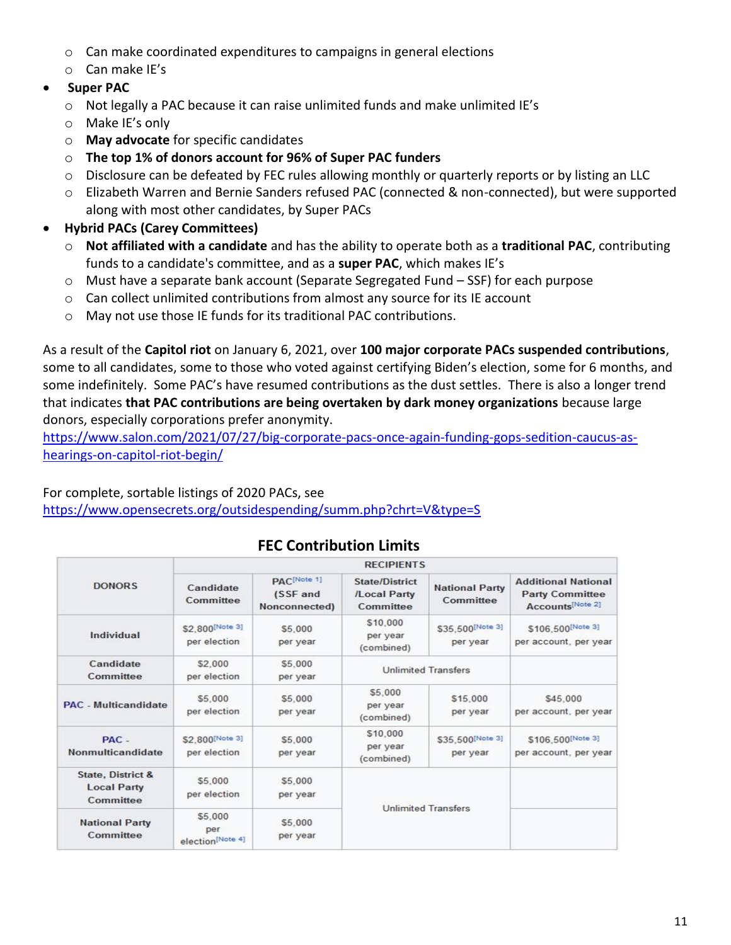- o Can make coordinated expenditures to campaigns in general elections
- o Can make IE's
- **Super PAC**
	- o Not legally a PAC because it can raise unlimited funds and make unlimited IE's
	- o Make IE's only
	- o **May advocate** for specific candidates
	- o **The top 1% of donors account for 96% of Super PAC funders**
	- $\circ$  Disclosure can be defeated by FEC rules allowing monthly or quarterly reports or by listing an LLC
	- o Elizabeth Warren and Bernie Sanders refused PAC (connected & non-connected), but were supported along with most other candidates, by Super PACs
- **Hybrid PACs (Carey Committees)**
	- o **Not affiliated with a candidate** and has the ability to operate both as a **traditional PAC**, contributing funds to a candidate's committee, and as a **super PAC**, which makes IE's
	- o Must have a separate bank account (Separate Segregated Fund SSF) for each purpose
	- $\circ$  Can collect unlimited contributions from almost any source for its IE account
	- o May not use those IE funds for its traditional PAC contributions.

As a result of the **Capitol riot** on January 6, 2021, over **100 major corporate PACs suspended contributions**, some to all candidates, some to those who voted against certifying Biden's election, some for 6 months, and some indefinitely. Some PAC's have resumed contributions as the dust settles. There is also a longer trend that indicates **that PAC contributions are being overtaken by dark money organizations** because large donors, especially corporations prefer anonymity.

[https://www.salon.com/2021/07/27/big-corporate-pacs-once-again-funding-gops-sedition-caucus-as](https://www.salon.com/2021/07/27/big-corporate-pacs-once-again-funding-gops-sedition-caucus-as-hearings-on-capitol-riot-begin/)[hearings-on-capitol-riot-begin/](https://www.salon.com/2021/07/27/big-corporate-pacs-once-again-funding-gops-sedition-caucus-as-hearings-on-capitol-riot-begin/)

For complete, sortable listings of 2020 PACs, see

<https://www.opensecrets.org/outsidespending/summ.php?chrt=V&type=S>

|                                                                 | <b>RECIPIENTS</b>                  |                                                      |                                             |                                    |                                                                          |
|-----------------------------------------------------------------|------------------------------------|------------------------------------------------------|---------------------------------------------|------------------------------------|--------------------------------------------------------------------------|
| <b>DONORS</b>                                                   | Candidate<br>Committee             | PAC <sup>[Note 1]</sup><br>(SSF and<br>Nonconnected) | State/District<br>/Local Party<br>Committee | <b>National Party</b><br>Committee | <b>Additional National</b><br><b>Party Committee</b><br>Accounts[Note 2] |
| Individual                                                      | \$2,800 [Note 3]<br>per election   | \$5,000<br>per year                                  | \$10,000<br>per year<br>(combined)          | \$35,500 [Note 3]<br>per year      | \$106,500 <sup>[Note 3]</sup><br>per account, per year                   |
| Candidate<br>Committee                                          | \$2,000<br>per election            | \$5,000<br>per year                                  | <b>Unlimited Transfers</b>                  |                                    |                                                                          |
| <b>PAC</b> - Multicandidate                                     | \$5,000<br>per election            | \$5,000<br>per year                                  | \$5,000<br>per year<br>(combined)           | \$15,000<br>per year               | \$45,000<br>per account, per year                                        |
| PAC-<br>Nonmulticandidate                                       | \$2,800 [Note 3]<br>per election   | \$5,000<br>per year                                  | \$10,000<br>per year<br>(combined)          | \$35,500 [Note 3]<br>per year.     | \$106,500 Note 3]<br>per account, per year                               |
| <b>State, District &amp;</b><br><b>Local Party</b><br>Committee | \$5,000<br>per election            | \$5,000<br>per year                                  | <b>Unlimited Transfers</b>                  |                                    |                                                                          |
| <b>National Party</b><br>Committee                              | \$5,000<br>per<br>election[Note 4] | \$5,000<br>per year                                  |                                             |                                    |                                                                          |

## **FEC Contribution Limits**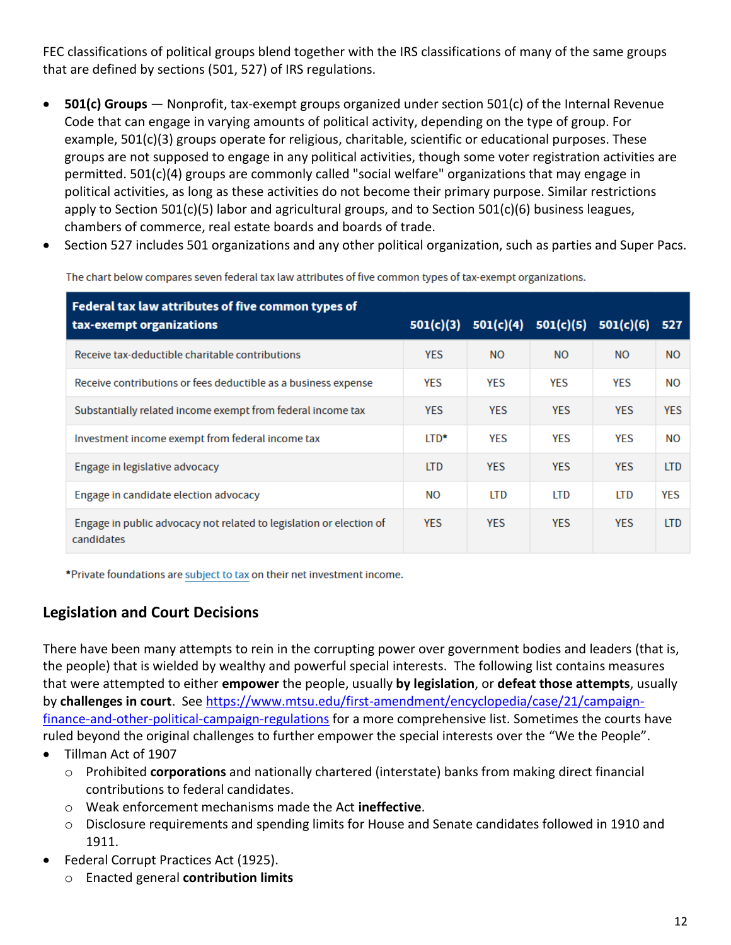FEC classifications of political groups blend together with the IRS classifications of many of the same groups that are defined by sections (501, 527) of IRS regulations.

- **501(c) Groups** Nonprofit, tax-exempt groups organized under section 501(c) of the Internal Revenue Code that can engage in varying amounts of political activity, depending on the type of group. For example, 501(c)(3) groups operate for religious, charitable, scientific or educational purposes. These groups are not supposed to engage in any political activities, though some voter registration activities are permitted. 501(c)(4) groups are commonly called "social welfare" organizations that may engage in political activities, as long as these activities do not become their primary purpose. Similar restrictions apply to Section 501(c)(5) labor and agricultural groups, and to Section 501(c)(6) business leagues, chambers of commerce, real estate boards and boards of trade.
- Section 527 includes 501 organizations and any other political organization, such as parties and Super Pacs.

| Federal tax law attributes of five common types of<br>tax-exempt organizations    | 501(c)(3)   |            | $501(c)(4)$ $501(c)(5)$ | 501(c)(6)  | 527        |
|-----------------------------------------------------------------------------------|-------------|------------|-------------------------|------------|------------|
| Receive tax-deductible charitable contributions                                   | <b>YES</b>  | <b>NO</b>  | <b>NO</b>               | <b>NO</b>  | <b>NO</b>  |
| Receive contributions or fees deductible as a business expense                    | <b>YES</b>  | YES        | <b>YES</b>              | YES        | <b>NO</b>  |
| Substantially related income exempt from federal income tax                       | <b>YES</b>  | <b>YES</b> | <b>YES</b>              | <b>YES</b> | <b>YES</b> |
| Investment income exempt from federal income tax                                  | <b>LTD*</b> | <b>YES</b> | <b>YES</b>              | <b>YES</b> | <b>NO</b>  |
| Engage in legislative advocacy                                                    | <b>LTD</b>  | <b>YES</b> | <b>YES</b>              | <b>YES</b> | <b>LTD</b> |
| Engage in candidate election advocacy                                             | NO.         | <b>LTD</b> | <b>LTD</b>              | <b>LTD</b> | <b>YES</b> |
| Engage in public advocacy not related to legislation or election of<br>candidates | <b>YES</b>  | <b>YES</b> | <b>YES</b>              | <b>YES</b> | <b>LTD</b> |

The chart below compares seven federal tax law attributes of five common types of tax-exempt organizations.

\*Private foundations are subject to tax on their net investment income.

## **Legislation and Court Decisions**

There have been many attempts to rein in the corrupting power over government bodies and leaders (that is, the people) that is wielded by wealthy and powerful special interests. The following list contains measures that were attempted to either **empower** the people, usually **by legislation**, or **defeat those attempts**, usually by **challenges in court**. See [https://www.mtsu.edu/first-amendment/encyclopedia/case/21/campaign](https://www.mtsu.edu/first-amendment/encyclopedia/case/21/campaign-finance-and-other-political-campaign-regulations)[finance-and-other-political-campaign-regulations](https://www.mtsu.edu/first-amendment/encyclopedia/case/21/campaign-finance-and-other-political-campaign-regulations) for a more comprehensive list. Sometimes the courts have ruled beyond the original challenges to further empower the special interests over the "We the People".

- Tillman Act of 1907
	- o Prohibited **corporations** and nationally chartered (interstate) banks from making direct financial contributions to federal candidates.
	- o Weak enforcement mechanisms made the Act **ineffective**.
	- $\circ$  Disclosure requirements and spending limits for House and Senate candidates followed in 1910 and 1911.
- Federal Corrupt Practices Act (1925).
	- o Enacted general **contribution limits**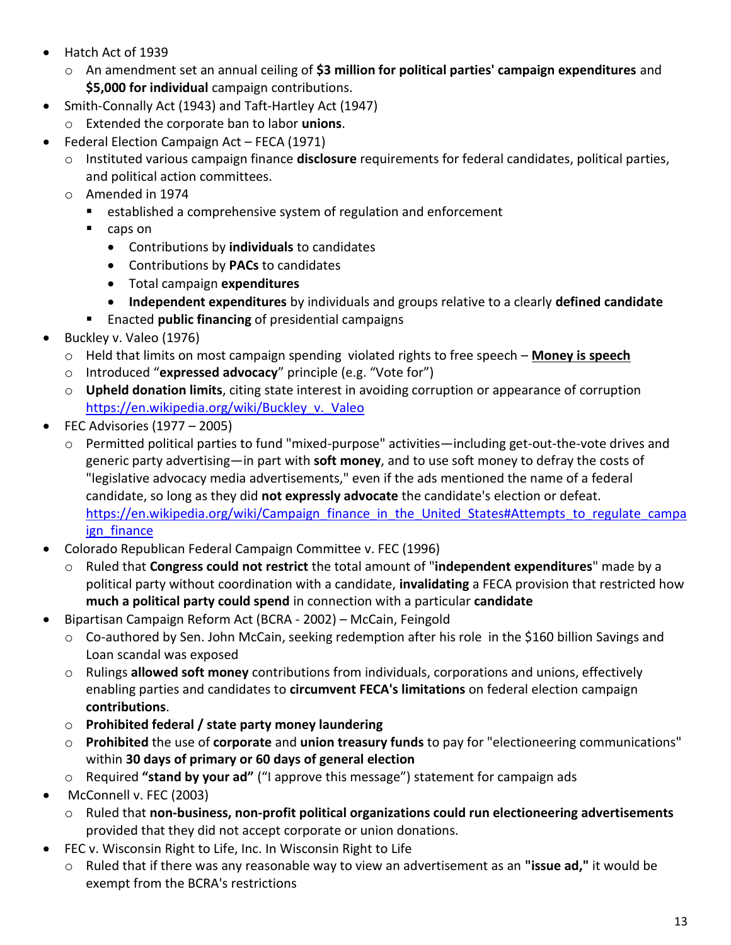- Hatch Act of 1939
	- o An amendment set an annual ceiling of **\$3 million for political parties' campaign expenditures** and **\$5,000 for individual** campaign contributions.
- Smith-Connally Act (1943) an[d Taft-Hartley Act](https://en.wikipedia.org/wiki/Taft-Hartley_Act) (1947)
	- o Extended the corporate ban to labor **unions**.
- Federal Election Campaign Act FECA (1971)
	- o Instituted various campaign finance **disclosure** requirements for federal candidates, political parties, and political action committees.
	- o Amended in 1974
		- established a comprehensive system of regulation and enforcement
		- caps on
			- Contributions by **individuals** to candidates
			- Contributions by **PACs** to candidates
			- Total campaign **expenditures**
			- **Independent expenditures** by individuals and groups relative to a clearly **defined candidate**
		- Enacted **public financing** of presidential campaigns
- Buckley v. Valeo (1976)
	- o Held that limits on most campaign spending violated rights to free speech **Money is speech**
	- o Introduced "**expressed advocacy**" principle (e.g. "Vote for")
	- o **Upheld donation limits**, citing state interest in avoiding corruption or appearance of corruption [https://en.wikipedia.org/wiki/Buckley\\_v.\\_Valeo](https://en.wikipedia.org/wiki/Buckley_v._Valeo)
- FEC Advisories  $(1977 2005)$ 
	- o Permitted political parties to fund "mixed-purpose" activities—including get-out-the-vote drives and generic party advertising—in part with **soft money**, and to use soft money to defray the costs of "legislative advocacy media advertisements," even if the ads mentioned the name of a federal candidate, so long as they did **not expressly advocate** the candidate's election or defeat. [https://en.wikipedia.org/wiki/Campaign\\_finance\\_in\\_the\\_United\\_States#Attempts\\_to\\_regulate\\_campa](https://en.wikipedia.org/wiki/Campaign_finance_in_the_United_States#Attempts_to_regulate_campaign_finance) ign finance
- Colorado Republican Federal Campaign Committee v. FEC (1996)
	- o Ruled that **Congress could not restrict** the total amount of "**independent expenditures**" made by a political party without coordination with a candidate, **invalidating** a FECA provision that restricted how **much a political party could spend** in connection with a particular **candidate**
- Bipartisan Campaign Reform Act (BCRA 2002) McCain, Feingold
	- $\circ$  Co-authored by Sen. John McCain, seeking redemption after his role in the \$160 billion Savings and Loan scandal was exposed
	- o Rulings **allowed soft money** contributions from individuals, corporations and unions, effectively enabling parties and candidates to **circumvent FECA's limitations** on federal election [campaign](https://en.wikipedia.org/wiki/Campaign_contributions)  **[contributions](https://en.wikipedia.org/wiki/Campaign_contributions)**.
	- o **Prohibited federal / state party money laundering**
	- o **Prohibited** the use of **corporate** and **union treasury funds** to pay for "electioneering communications" within **30 days of primary or 60 days of general election**
	- o Required **"stand by your ad"** ("I approve this message") statement for campaign ads
- [McConnell v. FEC](https://en.wikipedia.org/wiki/McConnell_v._Federal_Election_Commission) (2003)
	- o Ruled that **non-business, non-profit political organizations could run electioneering advertisements** provided that they did not accept corporate or union donations.
- FEC v. Wisconsin Right to Life, Inc. In Wisconsin Right to Life
	- o Ruled that if there was any reasonable way to view an advertisement as an **"issue ad,"** it would be exempt from the BCRA's restrictions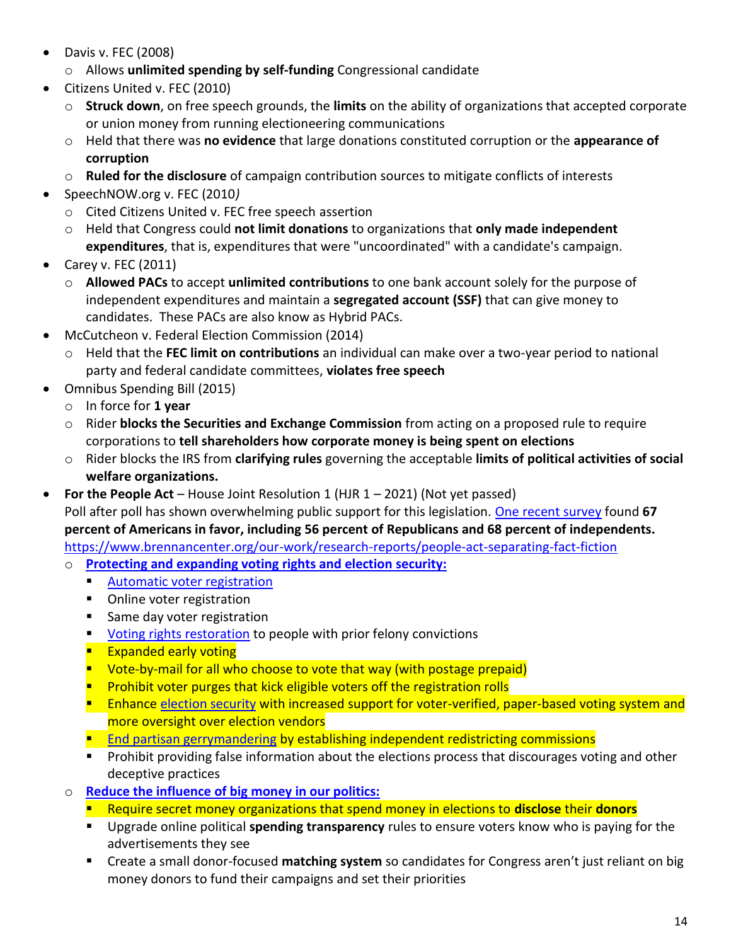- Davis v. FEC (2008)
	- o Allows **unlimited spending by self-funding** Congressional candidate
- Citizens United v. FEC (2010)
	- o **Struck down**, on free speech grounds, the **limits** on the ability of organizations that accepted corporate or union money from running electioneering communications
	- o Held that there was **no evidence** that large donations constituted corruption or the **appearance of corruption**
	- o **Ruled for the disclosure** of campaign contribution sources to mitigate conflicts of interests
- SpeechNOW.org v. FEC (2010*)*
	- o Cited Citizens United v. FEC free speech assertion
	- o Held that Congress could **not limit donations** to organizations that **only made independent expenditures**, that is, expenditures that were "uncoordinated" with a candidate's campaign.
- Carey v. FEC  $(2011)$ 
	- o **Allowed PACs** to accept **unlimited contributions** to one bank account solely for the purpose of independent expenditures and maintain a **segregated account (SSF)** that can give money to candidates. These PACs are also know as Hybrid PACs.
- McCutcheon v. Federal Election Commission (2014)
	- o Held that the **FEC limit on contributions** an individual can make over a two-year period to national party and federal candidate committees, **violates free speech**
- Omnibus Spending Bill (2015)
	- o In force for **1 year**
	- o Rider **blocks the Securities and Exchange Commission** from acting on a proposed rule to require corporations to **tell shareholders how corporate money is being spent on elections**
	- o Rider blocks the IRS from **clarifying rules** governing the acceptable **limits of political activities of social welfare organizations.**
- **For the People Act** House Joint Resolution 1 (HJR 1 2021) (Not yet passed)

Poll after poll has shown overwhelming public support for this legislation. [One recent survey](https://www.dataforprogress.org/blog/2021/1/22/majority-support-hr1-democracy-reforms) found **67 percent of Americans in favor, including 56 percent of Republicans and 68 percent of independents.** <https://www.brennancenter.org/our-work/research-reports/people-act-separating-fact-fiction>

- o **[Protecting and expanding voting rights and election security:](https://www.commoncause.org/our-work/voting-and-elections/)**
	- [Automatic voter registration](https://www.commoncause.org/our-work/voting-and-elections/voter-registration-modernization/)
	- Online voter registration
	- Same day voter registration
	- [Voting rights restoration](https://www.commoncause.org/clip/usa-today-op-ed-wheres-the-outrage-over-felons-voting-rights/) to people with prior felony convictions
	- **Expanded early voting**
	- Vote-by-mail for all who choose to vote that way (with postage prepaid)
	- **Prohibit voter purges that kick eligible voters off the registration rolls**
	- **E** Enhance [election security](https://www.commoncause.org/our-work/voting-and-elections/election-integrity/) with increased support for voter-verified, paper-based voting system and more oversight over election vendors
	- **[End partisan gerrymandering](https://www.commoncause.org/our-work/gerrymandering-and-representation/gerrymandering-redistricting/) by establishing independent redistricting commissions**
	- Prohibit providing false information about the elections process that discourages voting and other deceptive practices
- o **[Reduce the influence of big money in our politics:](https://www.commoncause.org/our-work/money-influence/)**
	- Require secret money organizations that spend money in elections to **disclose** their **donors**
	- Upgrade online political **spending transparency** rules to ensure voters know who is paying for the advertisements they see
	- Create a small donor-focused matching system so candidates for Congress aren't just reliant on big money donors to fund their campaigns and set their priorities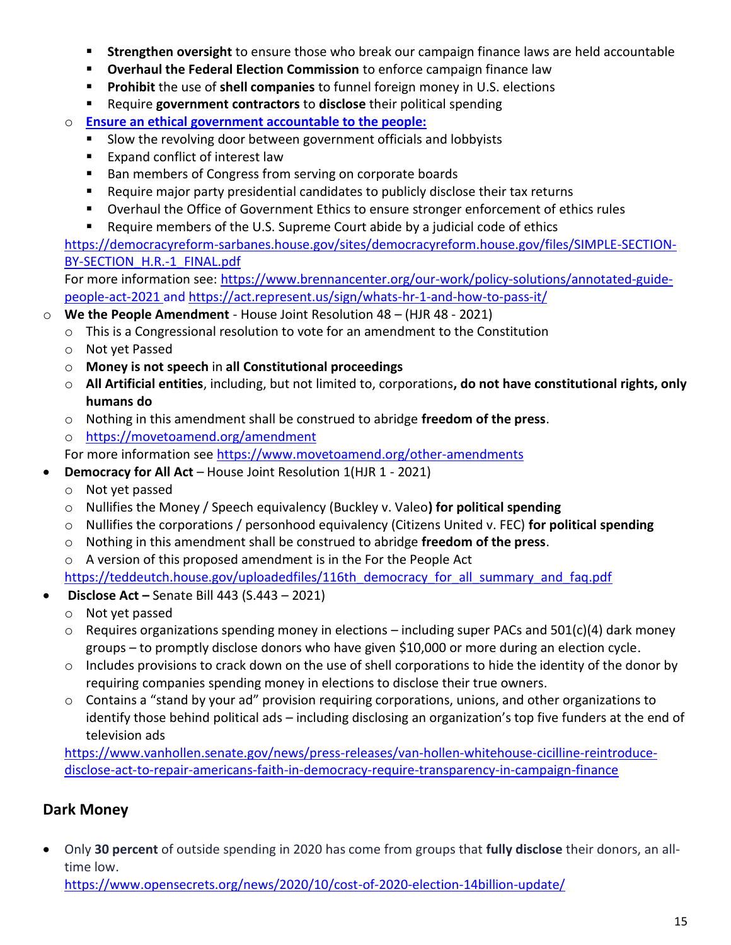- **EXTED Strengthen oversight** to ensure those who break our campaign finance laws are held accountable
- **EXED THE FEDERAL EXAMPLE THE COMMISSION** to enforce campaign finance law
- **Prohibit** the use of **shell companies** to funnel foreign money in U.S. elections
- Require government contractors to disclose their political spending
- o **[Ensure an ethical government accountable to the people:](https://www.commoncause.org/our-work/ethics-and-accountability/)**
	- Slow the revolving door between government officials and lobbyists
	- Expand conflict of interest law
	- Ban members of Congress from serving on corporate boards
	- Require major party presidential candidates to publicly disclose their tax returns
	- Overhaul the Office of Government Ethics to ensure stronger enforcement of ethics rules
	- Require members of the U.S. Supreme Court abide by a judicial code of ethics

[https://democracyreform-sarbanes.house.gov/sites/democracyreform.house.gov/files/SIMPLE-SECTION-](https://democracyreform-sarbanes.house.gov/sites/democracyreform.house.gov/files/SIMPLE-SECTION-BY-SECTION_H.R.-1_FINAL.pdf)[BY-SECTION\\_H.R.-1\\_FINAL.pdf](https://democracyreform-sarbanes.house.gov/sites/democracyreform.house.gov/files/SIMPLE-SECTION-BY-SECTION_H.R.-1_FINAL.pdf)

For more information see: [https://www.brennancenter.org/our-work/policy-solutions/annotated-guide](https://www.brennancenter.org/our-work/policy-solutions/annotated-guide-people-act-2021)[people-act-2021](https://www.brennancenter.org/our-work/policy-solutions/annotated-guide-people-act-2021) and<https://act.represent.us/sign/whats-hr-1-and-how-to-pass-it/>

- o **We the People Amendment** House Joint Resolution 48 (HJR 48 2021)
	- $\circ$  This is a Congressional resolution to vote for an amendment to the Constitution
	- o Not yet Passed
	- o **Money is not speech** in **all Constitutional proceedings**
	- o **All Artificial entities**, including, but not limited to, corporations**, do not have constitutional rights, only humans do**
	- o Nothing in this amendment shall be construed to abridge **freedom of the press**.
	- o <https://movetoamend.org/amendment>

For more information see<https://www.movetoamend.org/other-amendments>

- **Democracy for All Act** House Joint Resolution 1(HJR 1 2021)
	- o Not yet passed
	- o Nullifies the Money / Speech equivalency (Buckley v. Valeo**) for political spending**
	- o Nullifies the corporations / personhood equivalency (Citizens United v. FEC) **for political spending**
	- o Nothing in this amendment shall be construed to abridge **freedom of the press**.
	- o A version of this proposed amendment is in the For the People Act

[https://teddeutch.house.gov/uploadedfiles/116th\\_democracy\\_for\\_all\\_summary\\_and\\_faq.pdf](https://teddeutch.house.gov/uploadedfiles/116th_democracy_for_all_summary_and_faq.pdf)

- **Disclose Act –** Senate Bill 443 (S.443 2021)
	- o Not yet passed
	- $\circ$  Requires organizations spending money in elections including super PACs and 501(c)(4) dark money groups – to promptly disclose donors who have given \$10,000 or more during an election cycle.
	- $\circ$  Includes provisions to crack down on the use of shell corporations to hide the identity of the donor by requiring companies spending money in elections to disclose their true owners.
	- o Contains a "stand by your ad" provision requiring corporations, unions, and other organizations to identify those behind political ads – including disclosing an organization's top five funders at the end of television ads

[https://www.vanhollen.senate.gov/news/press-releases/van-hollen-whitehouse-cicilline-reintroduce](https://www.vanhollen.senate.gov/news/press-releases/van-hollen-whitehouse-cicilline-reintroduce-disclose-act-to-repair-americans-faith-in-democracy-require-transparency-in-campaign-finance)[disclose-act-to-repair-americans-faith-in-democracy-require-transparency-in-campaign-finance](https://www.vanhollen.senate.gov/news/press-releases/van-hollen-whitehouse-cicilline-reintroduce-disclose-act-to-repair-americans-faith-in-democracy-require-transparency-in-campaign-finance)

## **Dark Money**

• Only **30 percent** of outside spending in 2020 has come from groups that **fully disclose** their donors, an alltime low.

<https://www.opensecrets.org/news/2020/10/cost-of-2020-election-14billion-update/>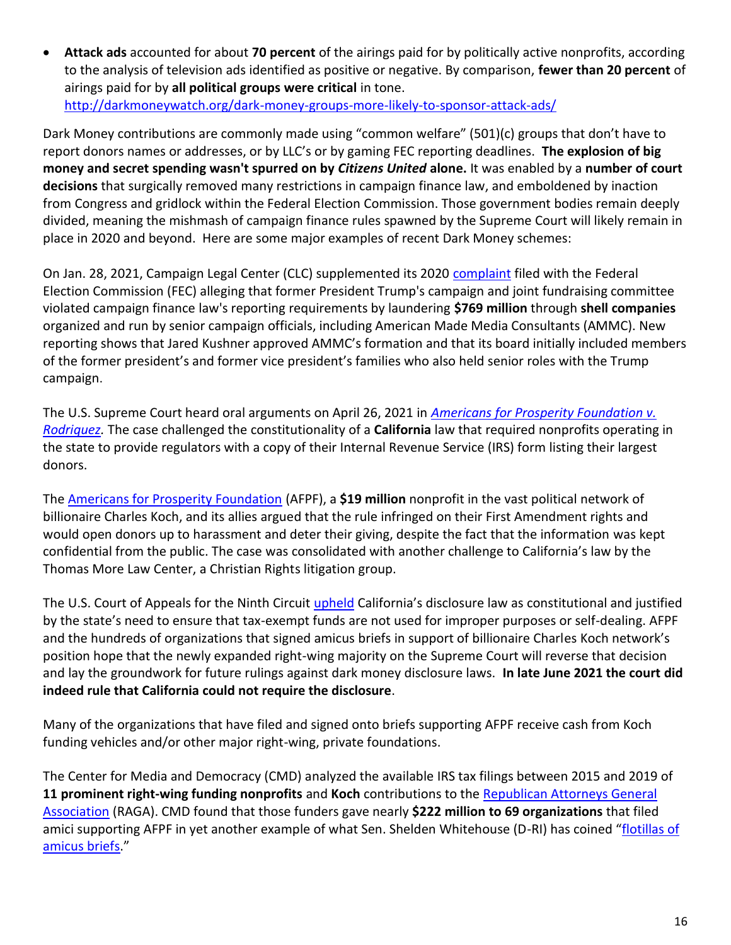• **Attack ads** accounted for about **70 percent** of the airings paid for by politically active nonprofits, according to the analysis of television ads identified as positive or negative. By comparison, **fewer than 20 percent** of airings paid for by **all political groups were critical** in tone. <http://darkmoneywatch.org/dark-money-groups-more-likely-to-sponsor-attack-ads/>

Dark Money contributions are commonly made using "common welfare" (501)(c) groups that don't have to report donors names or addresses, or by LLC's or by gaming FEC reporting deadlines. **The explosion of big money and secret spending wasn't spurred on by** *Citizens United* **alone.** It was enabled by a **number of court decisions** that surgically removed many restrictions in campaign finance law, and emboldened by inaction from Congress and gridlock within the Federal Election Commission. Those government bodies remain deeply divided, meaning the mishmash of campaign finance rules spawned by the Supreme Court will likely remain in place in 2020 and beyond. Here are some major examples of recent Dark Money schemes:

On Jan. 28, 2021, Campaign Legal Center (CLC) supplemented its 2020 [complaint](https://campaignlegal.org/document/complaint-against-donald-j-trump-president-and-trump-make-america-great-again-committee) filed with the Federal Election Commission (FEC) alleging that former President Trump's campaign and joint fundraising committee violated campaign finance law's reporting requirements by laundering **\$769 million** through **shell companies** organized and run by senior campaign officials, including American Made Media Consultants (AMMC). New reporting shows that Jared Kushner approved AMMC's formation and that its board initially included members of the former president's and former vice president's families who also held senior roles with the Trump campaign.

The U.S. Supreme Court heard oral arguments on April 26, 2021 in *[Americans for Prosperity Foundation v.](https://www.scotusblog.com/case-files/cases/americans-for-prosperity-foundation-v-becerra/)  [Rodriquez.](https://www.scotusblog.com/case-files/cases/americans-for-prosperity-foundation-v-becerra/)* The case challenged the constitutionality of a **California** law that required nonprofits operating in the state to provide regulators with a copy of their Internal Revenue Service (IRS) form listing their largest donors.

The [Americans for Prosperity Foundation](https://www.sourcewatch.org/index.php?title=Americans_for_Prosperity_Foundation) (AFPF), a **\$19 million** nonprofit in the vast political network of billionaire Charles Koch, and its allies argued that the rule infringed on their First Amendment rights and would open donors up to harassment and deter their giving, despite the fact that the information was kept confidential from the public. The case was consolidated with another challenge to California's law by the Thomas More Law Center, a Christian Rights litigation group.

The U.S. Court of Appeals for the Ninth Circuit [upheld](https://www.exposedbycmd.org/2020/01/10/koch-funds-groups-supporting-lawsuit-against-donor-transparency/) California's disclosure law as constitutional and justified by the state's need to ensure that tax-exempt funds are not used for improper purposes or self-dealing. AFPF and the hundreds of organizations that signed amicus briefs in support of billionaire Charles Koch network's position hope that the newly expanded right-wing majority on the Supreme Court will reverse that decision and lay the groundwork for future rulings against dark money disclosure laws. **In late June 2021 the court did indeed rule that California could not require the disclosure**.

Many of the organizations that have filed and signed onto briefs supporting AFPF receive cash from Koch funding vehicles and/or other major right-wing, private foundations.

The Center for Media and Democracy (CMD) analyzed the available IRS tax filings between 2015 and 2019 of **11 prominent right-wing funding nonprofits** and **Koch** contributions to the [Republican Attorneys General](https://www.sourcewatch.org/index.php?title=Republican_Attorneys_General_Association)  [Association](https://www.sourcewatch.org/index.php?title=Republican_Attorneys_General_Association) (RAGA). CMD found that those funders gave nearly **\$222 million to 69 organizations** that filed amici supporting AFPF in yet another example of what Sen. Shelden Whitehouse (D-RI) has coined "flotillas of [amicus briefs](https://twitter.com/SenWhitehouse/status/1316449927275438082?s=20)."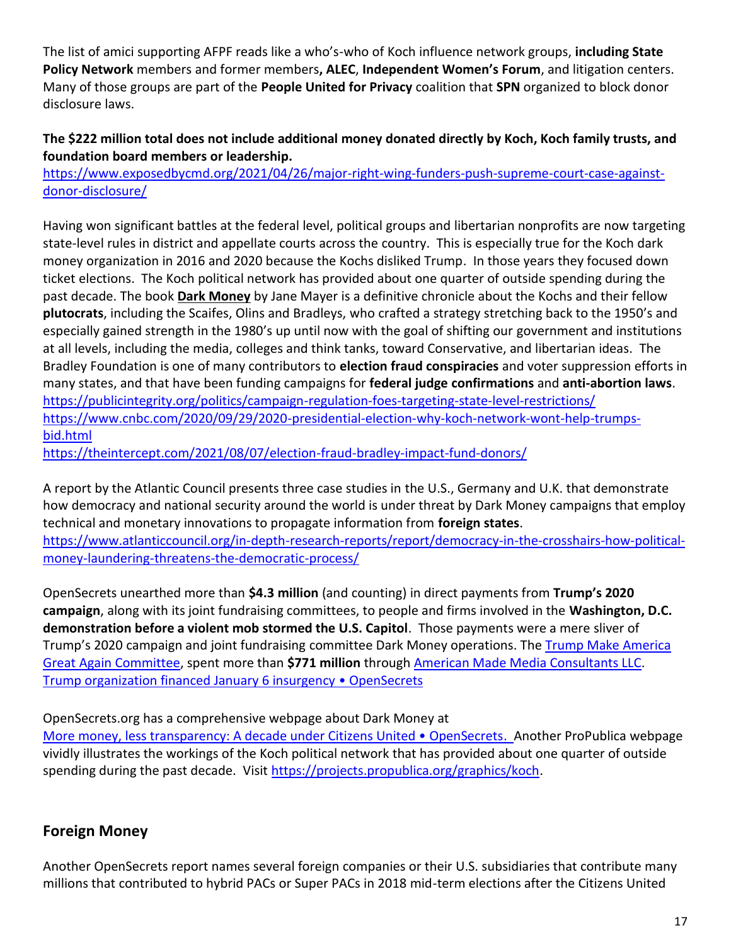The list of amici supporting AFPF reads like a who's-who of Koch influence network groups, **including State Policy Network** members and former members**, ALEC**, **Independent Women's Forum**, and litigation centers. Many of those groups are part of the **People United for Privacy** coalition that **SPN** organized to block donor disclosure laws.

#### **The \$222 million total does not include additional money donated directly by Koch, Koch family trusts, and foundation board members or leadership.**

[https://www.exposedbycmd.org/2021/04/26/major-right-wing-funders-push-supreme-court-case-against](https://www.exposedbycmd.org/2021/04/26/major-right-wing-funders-push-supreme-court-case-against-donor-disclosure/)[donor-disclosure/](https://www.exposedbycmd.org/2021/04/26/major-right-wing-funders-push-supreme-court-case-against-donor-disclosure/)

Having won significant battles at the federal level, political groups and libertarian nonprofits are now targeting state-level rules in district and appellate courts across the country. This is especially true for the Koch dark money organization in 2016 and 2020 because the Kochs disliked Trump. In those years they focused down ticket elections. The Koch political network has provided about one quarter of outside spending during the past decade. The book **Dark Money** by Jane Mayer is a definitive chronicle about the Kochs and their fellow **plutocrats**, including the Scaifes, Olins and Bradleys, who crafted a strategy stretching back to the 1950's and especially gained strength in the 1980's up until now with the goal of shifting our government and institutions at all levels, including the media, colleges and think tanks, toward Conservative, and libertarian ideas. The Bradley Foundation is one of many contributors to **election fraud conspiracies** and voter suppression efforts in many states, and that have been funding campaigns for **federal judge confirmations** and **anti-abortion laws**. <https://publicintegrity.org/politics/campaign-regulation-foes-targeting-state-level-restrictions/> [https://www.cnbc.com/2020/09/29/2020-presidential-election-why-koch-network-wont-help-trumps](https://www.cnbc.com/2020/09/29/2020-presidential-election-why-koch-network-wont-help-trumps-bid.html)[bid.html](https://www.cnbc.com/2020/09/29/2020-presidential-election-why-koch-network-wont-help-trumps-bid.html)

<https://theintercept.com/2021/08/07/election-fraud-bradley-impact-fund-donors/>

A report by the Atlantic Council presents three case studies in the U.S., Germany and U.K. that demonstrate how democracy and national security around the world is under threat by Dark Money campaigns that employ technical and monetary innovations to propagate information from **foreign states**. [https://www.atlanticcouncil.org/in-depth-research-reports/report/democracy-in-the-crosshairs-how-political](https://www.atlanticcouncil.org/in-depth-research-reports/report/democracy-in-the-crosshairs-how-political-money-laundering-threatens-the-democratic-process/)[money-laundering-threatens-the-democratic-process/](https://www.atlanticcouncil.org/in-depth-research-reports/report/democracy-in-the-crosshairs-how-political-money-laundering-threatens-the-democratic-process/)

OpenSecrets unearthed more than **\$4.3 million** (and counting) in direct payments from **Trump's 2020 campaign**, along with its joint fundraising committees, to people and firms involved in the **Washington, D.C. demonstration before a violent mob stormed the U.S. Capitol**. Those payments were a mere sliver of Trump's 2020 campaign and joint fundraising committee Dark Money operations. Th[e Trump Make America](https://www.opensecrets.org/jfc/summary.php?id=C00618371)  [Great Again Committee,](https://www.opensecrets.org/jfc/summary.php?id=C00618371) spent more than **\$771 million** throug[h American Made Media Consultants LLC.](https://www.opensecrets.org/campaign-expenditures/vendor?cycle=2020&vendor=American+Made+Media+Consultants) [Trump organization financed January 6 insurgency](https://www.opensecrets.org/news/2021/02/jan-6-protests-trump-operation-paid-3p5mil/?utm_source=twitter&utm_medium=social&utm_campaign=twitt_jan-6-tp35q-02/09/20&utm_source=OpenSecrets+Donor+List&utm_campaign=1466132cab-shell+co2_dl&utm_medium=email&utm_term=0_8ce7c3ba3d-1466132cab-212230541) • OpenSecrets

OpenSecrets.org has a comprehensive webpage about Dark Money at

[More money, less transparency: A decade under Citizens United • OpenSecrets](https://www.opensecrets.org/news/reports/a-decade-under-citizens-united). Another ProPublica webpage vividly illustrates the workings of the Koch political network that has provided about one quarter of outside spending during the past decade. Visit [https://projects.propublica.org/graphics/koch.](https://projects.propublica.org/graphics/koch)

## **Foreign Money**

Another OpenSecrets report names several foreign companies or their U.S. subsidiaries that contribute many millions that contributed to hybrid PACs or Super PACs in 2018 mid-term elections after the Citizens United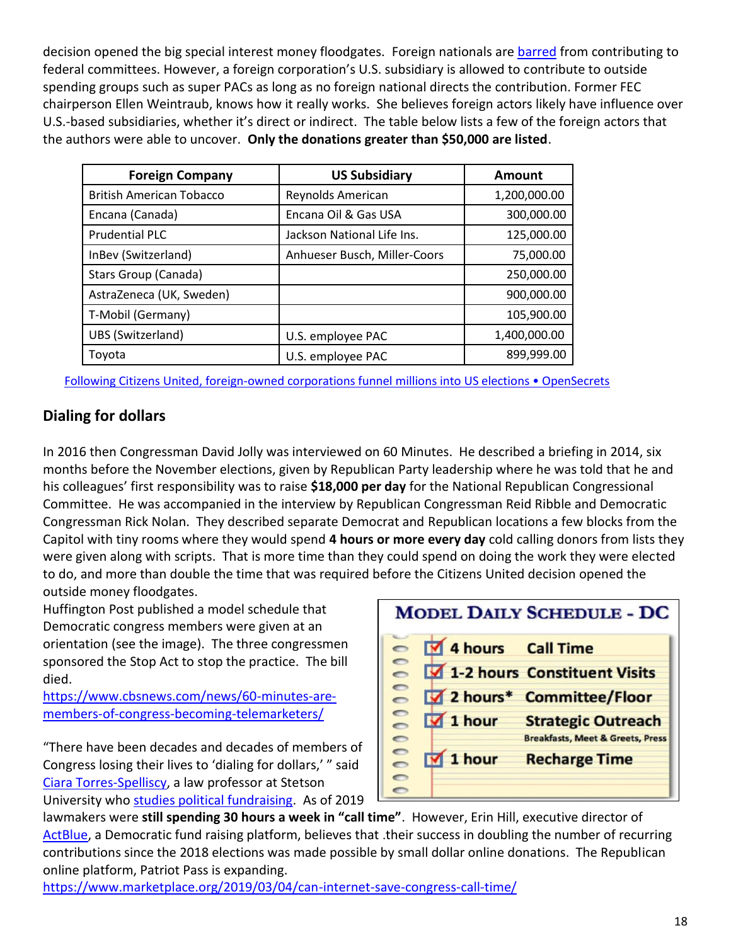decision opened the big special interest money floodgates. Foreign nationals are [barred](https://www.fec.gov/help-candidates-and-committees/candidate-taking-receipts/who-can-and-cant-contribute/) from contributing to federal committees. However, a foreign corporation's U.S. subsidiary is allowed to contribute to outside spending groups such as super PACs as long as no foreign national directs the contribution. Former FEC chairperson Ellen Weintraub, knows how it really works. She believes foreign actors likely have influence over U.S.-based subsidiaries, whether it's direct or indirect. The table below lists a few of the foreign actors that the authors were able to uncover. **Only the donations greater than \$50,000 are listed**.

| <b>Foreign Company</b>          | <b>US Subsidiary</b>         | <b>Amount</b> |
|---------------------------------|------------------------------|---------------|
| <b>British American Tobacco</b> | Reynolds American            | 1,200,000.00  |
| Encana (Canada)                 | Encana Oil & Gas USA         | 300,000.00    |
| <b>Prudential PLC</b>           | Jackson National Life Ins.   | 125,000.00    |
| InBev (Switzerland)             | Anhueser Busch, Miller-Coors | 75,000.00     |
| Stars Group (Canada)            |                              | 250,000.00    |
| AstraZeneca (UK, Sweden)        |                              | 900,000.00    |
| T-Mobil (Germany)               |                              | 105,900.00    |
| UBS (Switzerland)               | U.S. employee PAC            | 1,400,000.00  |
| Toyota                          | U.S. employee PAC            | 899,999.00    |

Following Citizens United, foreign-[owned corporations funnel millions into US elections • OpenSecrets](https://www.opensecrets.org/news/2019/03/citizens-united-foreign-owned-corporations-put-millions-in-us-elections/)

#### **Dialing for dollars**

In 2016 then Congressman David Jolly was interviewed on 60 Minutes. He described a briefing in 2014, six months before the November elections, given by Republican Party leadership where he was told that he and his colleagues' first responsibility was to raise **\$18,000 per day** for the National Republican Congressional Committee. He was accompanied in the interview by Republican Congressman Reid Ribble and Democratic Congressman Rick Nolan. They described separate Democrat and Republican locations a few blocks from the Capitol with tiny rooms where they would spend **4 hours or more every day** cold calling donors from lists they were given along with scripts. That is more time than they could spend on doing the work they were elected to do, and more than double the time that was required before the Citizens United decision opened the outside money floodgates.

Huffington Post published a model schedule that Democratic congress members were given at an orientation (see the image). The three congressmen sponsored the Stop Act to stop the practice. The bill died.

[https://www.cbsnews.com/news/60-minutes-are](https://www.cbsnews.com/news/60-minutes-are-members-of-congress-becoming-telemarketers/)[members-of-congress-becoming-telemarketers/](https://www.cbsnews.com/news/60-minutes-are-members-of-congress-becoming-telemarketers/)

"There have been decades and decades of members of Congress losing their lives to 'dialing for dollars,' " said [Ciara Torres-Spelliscy,](https://www.stetson.edu/law/faculty/torres-spelliscy-ciara/) a law professor at Stetson University who [studies political fundraising.](https://papers.ssrn.com/sol3/Papers.cfm?abstract_id=3083740) As of 2019



lawmakers were **still spending 30 hours a week in "call time"**. However, Erin Hill, executive director of [ActBlue,](https://secure.actblue.com/) a Democratic fund raising platform, believes that .their success in doubling the number of recurring contributions since the 2018 elections was made possible by small dollar online donations. The Republican online platform, Patriot Pass is expanding.

<https://www.marketplace.org/2019/03/04/can-internet-save-congress-call-time/>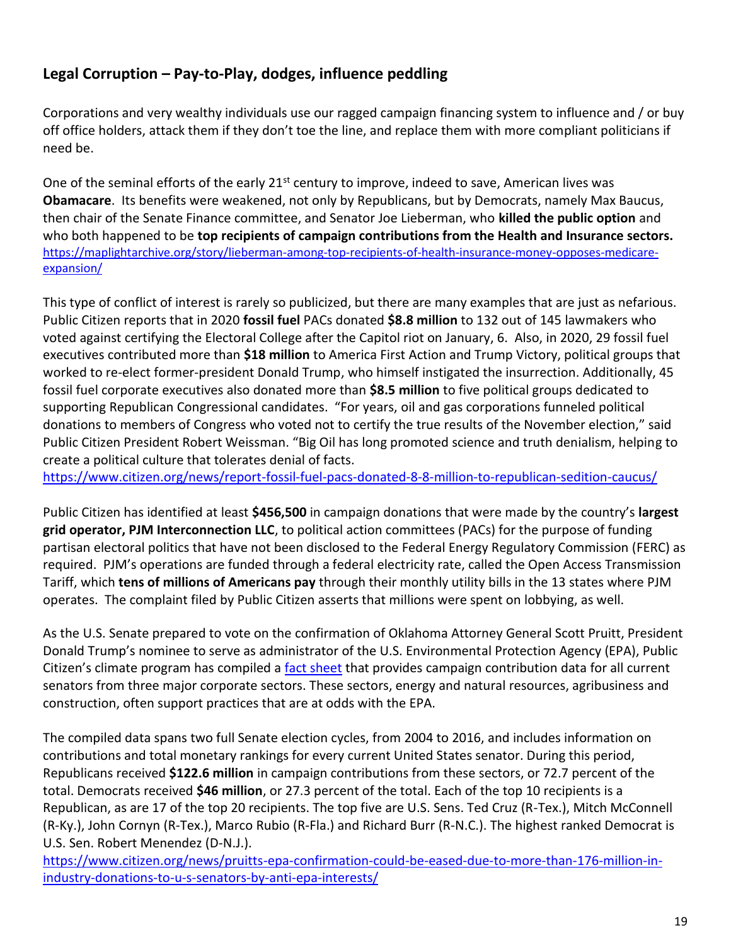# **Legal Corruption – Pay-to-Play, dodges, influence peddling**

Corporations and very wealthy individuals use our ragged campaign financing system to influence and / or buy off office holders, attack them if they don't toe the line, and replace them with more compliant politicians if need be.

One of the seminal efforts of the early 21<sup>st</sup> century to improve, indeed to save, American lives was **Obamacare**. Its benefits were weakened, not only by Republicans, but by Democrats, namely Max Baucus, then chair of the Senate Finance committee, and Senator Joe Lieberman, who **killed the public option** and who both happened to be **top recipients of campaign contributions from the Health and Insurance sectors.** [https://maplightarchive.org/story/lieberman-among-top-recipients-of-health-insurance-money-opposes-medicare](https://maplightarchive.org/story/lieberman-among-top-recipients-of-health-insurance-money-opposes-medicare-expansion/)[expansion/](https://maplightarchive.org/story/lieberman-among-top-recipients-of-health-insurance-money-opposes-medicare-expansion/)

This type of conflict of interest is rarely so publicized, but there are many examples that are just as nefarious. Public Citizen reports that in 2020 **fossil fuel** PACs donated **\$8.8 million** to 132 out of 145 lawmakers who voted against certifying the Electoral College after the Capitol riot on January, 6. Also, in 2020, 29 fossil fuel executives contributed more than **\$18 million** to America First Action and Trump Victory, political groups that worked to re-elect former-president Donald Trump, who himself instigated the insurrection. Additionally, 45 fossil fuel corporate executives also donated more than **\$8.5 million** to five political groups dedicated to supporting Republican Congressional candidates. "For years, oil and gas corporations funneled political donations to members of Congress who voted not to certify the true results of the November election," said Public Citizen President Robert Weissman. "Big Oil has long promoted science and truth denialism, helping to create a political culture that tolerates denial of facts.

<https://www.citizen.org/news/report-fossil-fuel-pacs-donated-8-8-million-to-republican-sedition-caucus/>

Public Citizen has identified at least **\$456,500** in campaign donations that were made by the country's **largest grid operator, PJM Interconnection LLC**, to political action committees (PACs) for the purpose of funding partisan electoral politics that have not been disclosed to the Federal Energy Regulatory Commission (FERC) as required. PJM's operations are funded through a federal electricity rate, called the Open Access Transmission Tariff, which **tens of millions of Americans pay** through their monthly utility bills in the 13 states where PJM operates. The complaint filed by Public Citizen asserts that millions were spent on lobbying, as well.

As the U.S. Senate prepared to vote on the confirmation of Oklahoma Attorney General Scott Pruitt, President Donald Trump's nominee to serve as administrator of the U.S. Environmental Protection Agency (EPA), Public Citizen's climate program has compiled a [fact sheet](https://mkus3lurbh3lbztg254fzode-wpengine.netdna-ssl.com/sites/default/files/public-citizen-senate-contributions-from-energy-ag-construction-fact-sheet-feb-2017.pdf) that provides campaign contribution data for all current senators from three major corporate sectors. These sectors, energy and natural resources, agribusiness and construction, often support practices that are at odds with the EPA.

The compiled data spans two full Senate election cycles, from 2004 to 2016, and includes information on contributions and total monetary rankings for every current United States senator. During this period, Republicans received **\$122.6 million** in campaign contributions from these sectors, or 72.7 percent of the total. Democrats received **\$46 million**, or 27.3 percent of the total. Each of the top 10 recipients is a Republican, as are 17 of the top 20 recipients. The top five are U.S. Sens. Ted Cruz (R-Tex.), Mitch McConnell (R-Ky.), John Cornyn (R-Tex.), Marco Rubio (R-Fla.) and Richard Burr (R-N.C.). The highest ranked Democrat is U.S. Sen. Robert Menendez (D-N.J.).

https://www.citizen.org/news/pruitts-epa-confirmation-could-be-eased-due-to-more-than-176-million-inindustry-donations-to-u-s-senators-by-anti-epa-interests/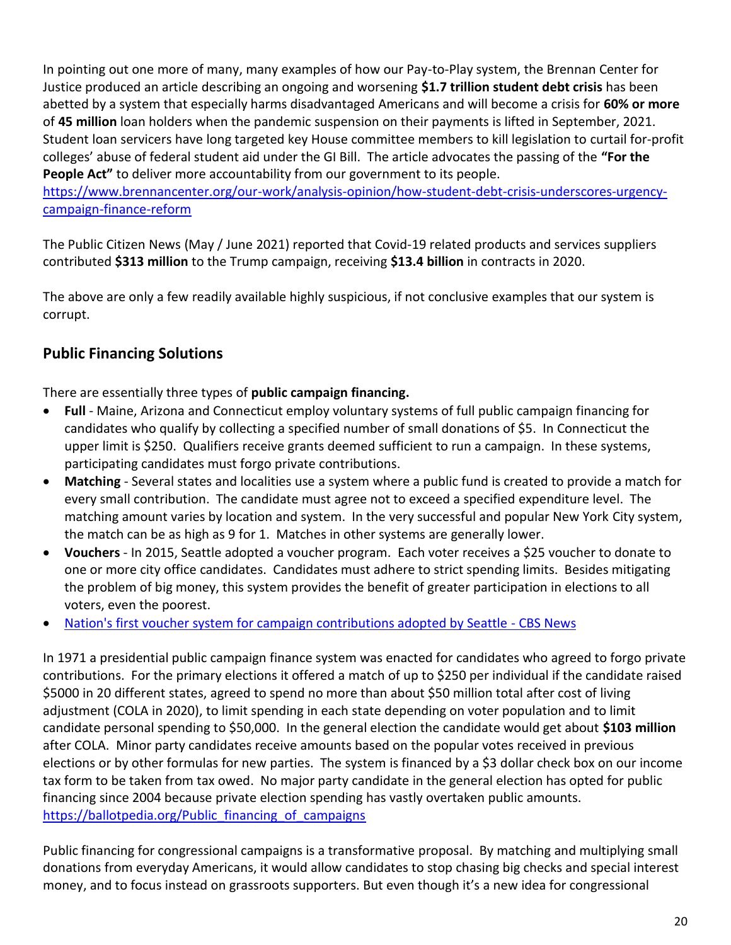In pointing out one more of many, many examples of how our Pay-to-Play system, the Brennan Center for Justice produced an article describing an ongoing and worsening **\$1.7 trillion student debt crisis** has been abetted by a system that especially harms disadvantaged Americans and will become a crisis for **60% or more** of **45 million** loan holders when the pandemic suspension on their payments is lifted in September, 2021. Student loan servicers have long targeted key House committee members to kill legislation to curtail for-profit colleges' abuse of federal student aid under the GI Bill. The article advocates the passing of the **"For the People Act"** to deliver more accountability from our government to its people.

[https://www.brennancenter.org/our-work/analysis-opinion/how-student-debt-crisis-underscores-urgency](https://www.brennancenter.org/our-work/analysis-opinion/how-student-debt-crisis-underscores-urgency-campaign-finance-reform)[campaign-finance-reform](https://www.brennancenter.org/our-work/analysis-opinion/how-student-debt-crisis-underscores-urgency-campaign-finance-reform)

The Public Citizen News (May / June 2021) reported that Covid-19 related products and services suppliers contributed **\$313 million** to the Trump campaign, receiving **\$13.4 billion** in contracts in 2020.

The above are only a few readily available highly suspicious, if not conclusive examples that our system is corrupt.

## **Public Financing Solutions**

There are essentially three types of **public campaign financing.**

- **Full** Maine, Arizona and Connecticut employ voluntary systems of full public campaign financing for candidates who qualify by collecting a specified number of small donations of \$5. In Connecticut the upper limit is \$250. Qualifiers receive grants deemed sufficient to run a campaign. In these systems, participating candidates must forgo private contributions.
- **Matching** Several states and localities use a system where a public fund is created to provide a match for every small contribution. The candidate must agree not to exceed a specified expenditure level. The matching amount varies by location and system. In the very successful and popular New York City system, the match can be as high as 9 for 1. Matches in other systems are generally lower.
- **Vouchers** In 2015, Seattle adopted a voucher program. Each voter receives a \$25 voucher to donate to one or more city office candidates. Candidates must adhere to strict spending limits. Besides mitigating the problem of big money, this system provides the benefit of greater participation in elections to all voters, even the poorest.
- [Nation's first voucher system for campaign contributions adopted by Seattle -](https://www.cbsnews.com/news/seattle-adopts-nations-first-voucher-system-for-campaign-contributions/) CBS News

In 1971 a presidential public campaign finance system was enacted for candidates who agreed to forgo private contributions. For the primary elections it offered a match of up to \$250 per individual if the candidate raised \$5000 in 20 different states, agreed to spend no more than about \$50 million total after cost of living adjustment (COLA in 2020), to limit spending in each state depending on voter population and to limit candidate personal spending to \$50,000. In the general election the candidate would get about **\$103 million**  after COLA. Minor party candidates receive amounts based on the popular votes received in previous elections or by other formulas for new parties. The system is financed by a \$3 dollar check box on our income tax form to be taken from tax owed. No major party candidate in the general election has opted for public financing since 2004 because private election spending has vastly overtaken public amounts. [https://ballotpedia.org/Public\\_financing\\_of\\_campaigns](https://ballotpedia.org/Public_financing_of_campaigns)

Public financing for congressional campaigns is a transformative proposal. By matching and multiplying small donations from everyday Americans, it would allow candidates to stop chasing big checks and special interest money, and to focus instead on grassroots supporters. But even though it's a new idea for congressional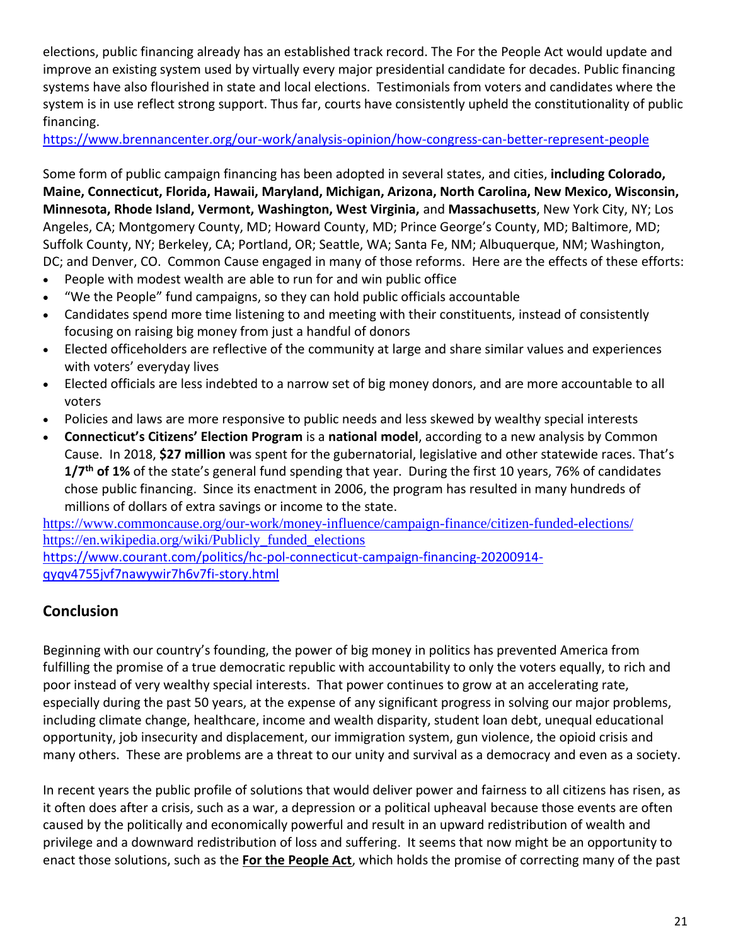elections, public financing already has an established track record. The For the People Act would update and improve an existing system used by virtually every major presidential candidate for decades. Public financing systems have also flourished in state and local elections. Testimonials from voters and candidates where the system is in use reflect strong support. Thus far, courts have consistently upheld the constitutionality of public financing.

<https://www.brennancenter.org/our-work/analysis-opinion/how-congress-can-better-represent-people>

Some form of public campaign financing has been adopted in several states, and cities, **including Colorado, Maine, Connecticut, Florida, Hawaii, Maryland, Michigan, Arizona, North Carolina, New Mexico, Wisconsin, Minnesota, Rhode Island, Vermont, Washington, West Virginia,** and **Massachusetts**, New York City, NY; Los Angeles, CA; Montgomery County, MD; Howard County, MD; Prince George's County, MD; Baltimore, MD; Suffolk County, NY; Berkeley, CA; Portland, OR; Seattle, WA; Santa Fe, NM; Albuquerque, NM; Washington, DC; and Denver, CO. Common Cause engaged in many of those reforms. Here are the effects of these efforts:

- People with modest wealth are able to run for and win public office
- "We the People" fund campaigns, so they can hold public officials accountable
- Candidates spend more time listening to and meeting with their constituents, instead of consistently focusing on raising big money from just a handful of donors
- Elected officeholders are reflective of the community at large and share similar values and experiences with voters' everyday lives
- Elected officials are less indebted to a narrow set of big money donors, and are more accountable to all voters
- Policies and laws are more responsive to public needs and less skewed by wealthy special interests
- **Connecticut's Citizens' Election Program** is a **national model**, according to a new analysis by Common Cause. In 2018, **\$27 million** was spent for the gubernatorial, legislative and other statewide races. That's **1/7th of 1%** of the state's general fund spending that year. During the first 10 years, 76% of candidates chose public financing. Since its enactment in 2006, the program has resulted in many hundreds of millions of dollars of extra savings or income to the state.

<https://www.commoncause.org/our-work/money-influence/campaign-finance/citizen-funded-elections/> [https://en.wikipedia.org/wiki/Publicly\\_funded\\_elections](https://en.wikipedia.org/wiki/Publicly_funded_elections)

[https://www.courant.com/politics/hc-pol-connecticut-campaign-financing-20200914](https://www.courant.com/politics/hc-pol-connecticut-campaign-financing-20200914-qyqv4755jvf7nawywir7h6v7fi-story.html) [qyqv4755jvf7nawywir7h6v7fi-story.html](https://www.courant.com/politics/hc-pol-connecticut-campaign-financing-20200914-qyqv4755jvf7nawywir7h6v7fi-story.html)

## **Conclusion**

Beginning with our country's founding, the power of big money in politics has prevented America from fulfilling the promise of a true democratic republic with accountability to only the voters equally, to rich and poor instead of very wealthy special interests. That power continues to grow at an accelerating rate, especially during the past 50 years, at the expense of any significant progress in solving our major problems, including climate change, healthcare, income and wealth disparity, student loan debt, unequal educational opportunity, job insecurity and displacement, our immigration system, gun violence, the opioid crisis and many others. These are problems are a threat to our unity and survival as a democracy and even as a society.

In recent years the public profile of solutions that would deliver power and fairness to all citizens has risen, as it often does after a crisis, such as a war, a depression or a political upheaval because those events are often caused by the politically and economically powerful and result in an upward redistribution of wealth and privilege and a downward redistribution of loss and suffering. It seems that now might be an opportunity to enact those solutions, such as the **For the People Act**, which holds the promise of correcting many of the past